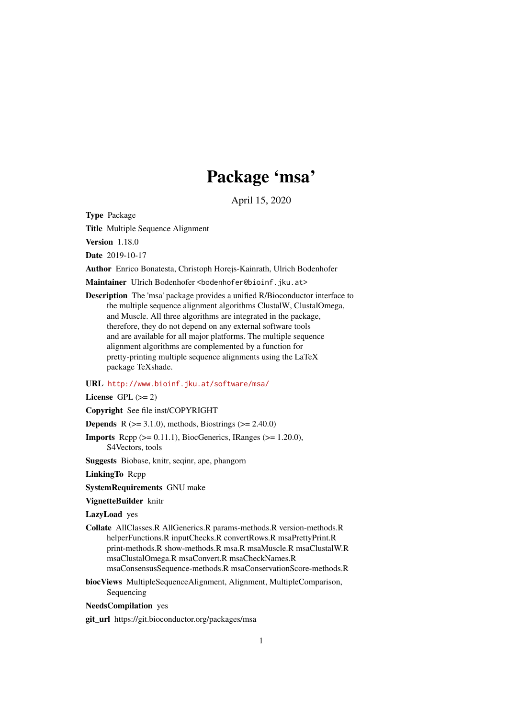# Package 'msa'

April 15, 2020

<span id="page-0-0"></span>Type Package

Title Multiple Sequence Alignment

Version 1.18.0

Date 2019-10-17

Author Enrico Bonatesta, Christoph Horejs-Kainrath, Ulrich Bodenhofer

Maintainer Ulrich Bodenhofer <br/>bodenhofer@bioinf.jku.at>

Description The 'msa' package provides a unified R/Bioconductor interface to the multiple sequence alignment algorithms ClustalW, ClustalOmega, and Muscle. All three algorithms are integrated in the package, therefore, they do not depend on any external software tools and are available for all major platforms. The multiple sequence alignment algorithms are complemented by a function for pretty-printing multiple sequence alignments using the LaTeX package TeXshade.

# URL <http://www.bioinf.jku.at/software/msa/>

License GPL  $(>= 2)$ 

Copyright See file inst/COPYRIGHT

**Depends** R ( $>= 3.1.0$ ), methods, Biostrings ( $>= 2.40.0$ )

- **Imports** Rcpp  $(>= 0.11.1)$ , BiocGenerics, IRanges  $(>= 1.20.0)$ , S4Vectors, tools
- Suggests Biobase, knitr, seqinr, ape, phangorn

LinkingTo Rcpp

SystemRequirements GNU make

VignetteBuilder knitr

LazyLoad yes

Collate AllClasses.R AllGenerics.R params-methods.R version-methods.R helperFunctions.R inputChecks.R convertRows.R msaPrettyPrint.R print-methods.R show-methods.R msa.R msaMuscle.R msaClustalW.R msaClustalOmega.R msaConvert.R msaCheckNames.R msaConsensusSequence-methods.R msaConservationScore-methods.R

biocViews MultipleSequenceAlignment, Alignment, MultipleComparison, Sequencing

NeedsCompilation yes

git\_url https://git.bioconductor.org/packages/msa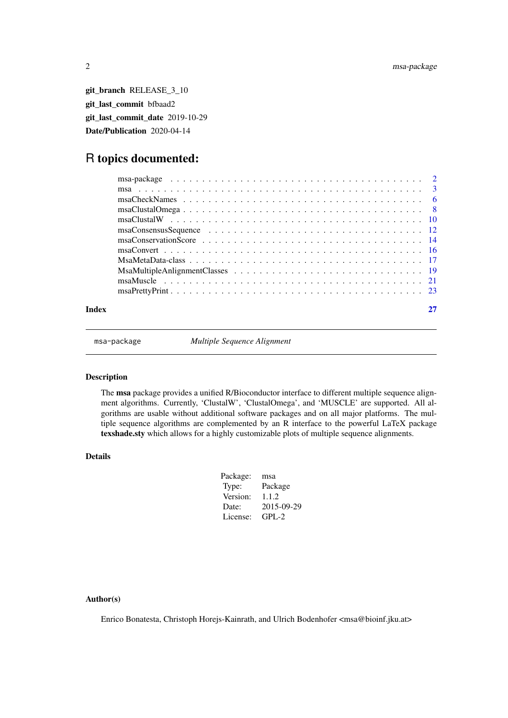<span id="page-1-0"></span>git\_branch RELEASE\_3\_10 git\_last\_commit bfbaad2 git last commit date 2019-10-29 Date/Publication 2020-04-14

# R topics documented:

| Index |  |
|-------|--|

msa-package *Multiple Sequence Alignment*

# Description

The msa package provides a unified R/Bioconductor interface to different multiple sequence alignment algorithms. Currently, 'ClustalW', 'ClustalOmega', and 'MUSCLE' are supported. All algorithms are usable without additional software packages and on all major platforms. The multiple sequence algorithms are complemented by an R interface to the powerful LaTeX package texshade.sty which allows for a highly customizable plots of multiple sequence alignments.

# Details

| Package: | msa        |
|----------|------------|
| Type:    | Package    |
| Version: | 1.1.2      |
| Date:    | 2015-09-29 |
| License: | GPL-2      |

# Author(s)

Enrico Bonatesta, Christoph Horejs-Kainrath, and Ulrich Bodenhofer <msa@bioinf.jku.at>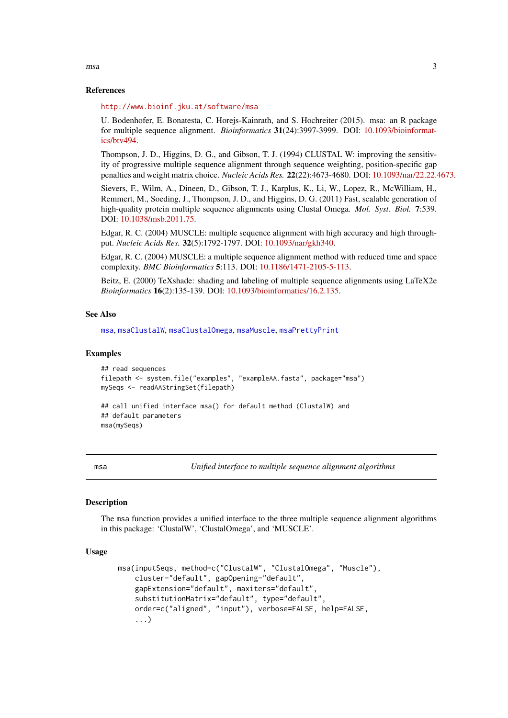References

<http://www.bioinf.jku.at/software/msa>

U. Bodenhofer, E. Bonatesta, C. Horejs-Kainrath, and S. Hochreiter (2015). msa: an R package for multiple sequence alignment. *Bioinformatics* 31(24):3997-3999. DOI: [10.1093/bioinformat](http://dx.doi.org/10.1093/bioinformatics/btv494)[ics/btv494.](http://dx.doi.org/10.1093/bioinformatics/btv494)

Thompson, J. D., Higgins, D. G., and Gibson, T. J. (1994) CLUSTAL W: improving the sensitivity of progressive multiple sequence alignment through sequence weighting, position-specific gap penalties and weight matrix choice. *Nucleic Acids Res.* 22(22):4673-4680. DOI: [10.1093/nar/22.22.4673.](http://dx.doi.org/10.1093/nar/22.22.4673)

Sievers, F., Wilm, A., Dineen, D., Gibson, T. J., Karplus, K., Li, W., Lopez, R., McWilliam, H., Remmert, M., Soeding, J., Thompson, J. D., and Higgins, D. G. (2011) Fast, scalable generation of high-quality protein multiple sequence alignments using Clustal Omega. *Mol. Syst. Biol.* 7:539. DOI: [10.1038/msb.2011.75.](http://dx.doi.org/10.1038/msb.2011.75)

Edgar, R. C. (2004) MUSCLE: multiple sequence alignment with high accuracy and high throughput. *Nucleic Acids Res.* 32(5):1792-1797. DOI: [10.1093/nar/gkh340.](http://dx.doi.org/10.1093/nar/gkh340)

Edgar, R. C. (2004) MUSCLE: a multiple sequence alignment method with reduced time and space complexity. *BMC Bioinformatics* 5:113. DOI: [10.1186/1471-2105-5-113.](http://dx.doi.org/10.1186/1471-2105-5-113)

Beitz, E. (2000) TeXshade: shading and labeling of multiple sequence alignments using LaTeX2e *Bioinformatics* 16(2):135-139. DOI: [10.1093/bioinformatics/16.2.135.](http://dx.doi.org/10.1093/bioinformatics/16.2.135)

### See Also

[msa](#page-2-1), [msaClustalW](#page-9-1), [msaClustalOmega](#page-7-1), [msaMuscle](#page-20-1), [msaPrettyPrint](#page-22-1)

#### Examples

```
## read sequences
filepath <- system.file("examples", "exampleAA.fasta", package="msa")
mySeqs <- readAAStringSet(filepath)
## call unified interface msa() for default method (ClustalW) and
## default parameters
msa(mySeqs)
```
<span id="page-2-1"></span>msa *Unified interface to multiple sequence alignment algorithms*

#### **Description**

The msa function provides a unified interface to the three multiple sequence alignment algorithms in this package: 'ClustalW', 'ClustalOmega', and 'MUSCLE'.

#### Usage

```
msa(inputSeqs, method=c("ClustalW", "ClustalOmega", "Muscle"),
    cluster="default", gapOpening="default",
    gapExtension="default", maxiters="default",
    substitutionMatrix="default", type="default",
    order=c("aligned", "input"), verbose=FALSE, help=FALSE,
    ...)
```
<span id="page-2-0"></span> $\text{msa}$  3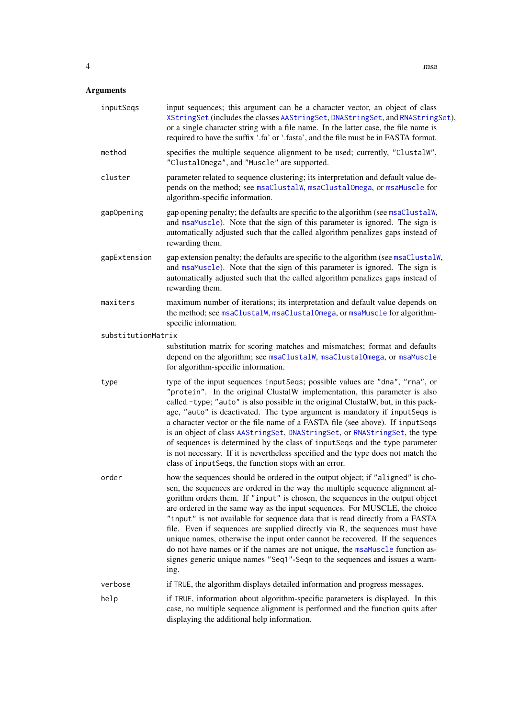<span id="page-3-0"></span>

| inputSeqs          | input sequences; this argument can be a character vector, an object of class<br>XStringSet (includes the classes AAStringSet, DNAStringSet, and RNAStringSet),<br>or a single character string with a file name. In the latter case, the file name is<br>required to have the suffix '.fa' or '.fasta', and the file must be in FASTA format.                                                                                                                                                                                                                                                                                                                                                                                                           |
|--------------------|---------------------------------------------------------------------------------------------------------------------------------------------------------------------------------------------------------------------------------------------------------------------------------------------------------------------------------------------------------------------------------------------------------------------------------------------------------------------------------------------------------------------------------------------------------------------------------------------------------------------------------------------------------------------------------------------------------------------------------------------------------|
| method             | specifies the multiple sequence alignment to be used; currently, "ClustalW",<br>"ClustalOmega", and "Muscle" are supported.                                                                                                                                                                                                                                                                                                                                                                                                                                                                                                                                                                                                                             |
| cluster            | parameter related to sequence clustering; its interpretation and default value de-<br>pends on the method; see msaClustalW, msaClustalOmega, or msaMuscle for<br>algorithm-specific information.                                                                                                                                                                                                                                                                                                                                                                                                                                                                                                                                                        |
| gapOpening         | gap opening penalty; the defaults are specific to the algorithm (see msaClustalW,<br>and msaMuscle). Note that the sign of this parameter is ignored. The sign is<br>automatically adjusted such that the called algorithm penalizes gaps instead of<br>rewarding them.                                                                                                                                                                                                                                                                                                                                                                                                                                                                                 |
| gapExtension       | gap extension penalty; the defaults are specific to the algorithm (see msaClustalW,<br>and msaMuscle). Note that the sign of this parameter is ignored. The sign is<br>automatically adjusted such that the called algorithm penalizes gaps instead of<br>rewarding them.                                                                                                                                                                                                                                                                                                                                                                                                                                                                               |
| maxiters           | maximum number of iterations; its interpretation and default value depends on<br>the method; see msaClustalW, msaClustalOmega, or msaMuscle for algorithm-<br>specific information.                                                                                                                                                                                                                                                                                                                                                                                                                                                                                                                                                                     |
| substitutionMatrix |                                                                                                                                                                                                                                                                                                                                                                                                                                                                                                                                                                                                                                                                                                                                                         |
|                    | substitution matrix for scoring matches and mismatches; format and defaults<br>depend on the algorithm; see msaClustalW, msaClustalOmega, or msaMuscle<br>for algorithm-specific information.                                                                                                                                                                                                                                                                                                                                                                                                                                                                                                                                                           |
| type               | type of the input sequences inputSeqs; possible values are "dna", "rna", or<br>"protein". In the original ClustalW implementation, this parameter is also<br>called -type; "auto" is also possible in the original ClustalW, but, in this pack-<br>age, "auto" is deactivated. The type argument is mandatory if inputSeqs is<br>a character vector or the file name of a FASTA file (see above). If inputSeqs<br>is an object of class AAStringSet, DNAStringSet, or RNAStringSet, the type<br>of sequences is determined by the class of inputSeqs and the type parameter<br>is not necessary. If it is nevertheless specified and the type does not match the<br>class of inputSeqs, the function stops with an error.                               |
| order              | how the sequences should be ordered in the output object; if "aligned" is cho-<br>sen, the sequences are ordered in the way the multiple sequence alignment al-<br>gorithm orders them. If "input" is chosen, the sequences in the output object<br>are ordered in the same way as the input sequences. For MUSCLE, the choice<br>"input" is not available for sequence data that is read directly from a FASTA<br>file. Even if sequences are supplied directly via R, the sequences must have<br>unique names, otherwise the input order cannot be recovered. If the sequences<br>do not have names or if the names are not unique, the msaMuscle function as-<br>signes generic unique names "Seq1"-Seqn to the sequences and issues a warn-<br>ing. |
| verbose            | if TRUE, the algorithm displays detailed information and progress messages.                                                                                                                                                                                                                                                                                                                                                                                                                                                                                                                                                                                                                                                                             |
| help               | if TRUE, information about algorithm-specific parameters is displayed. In this<br>case, no multiple sequence alignment is performed and the function quits after<br>displaying the additional help information.                                                                                                                                                                                                                                                                                                                                                                                                                                                                                                                                         |
|                    |                                                                                                                                                                                                                                                                                                                                                                                                                                                                                                                                                                                                                                                                                                                                                         |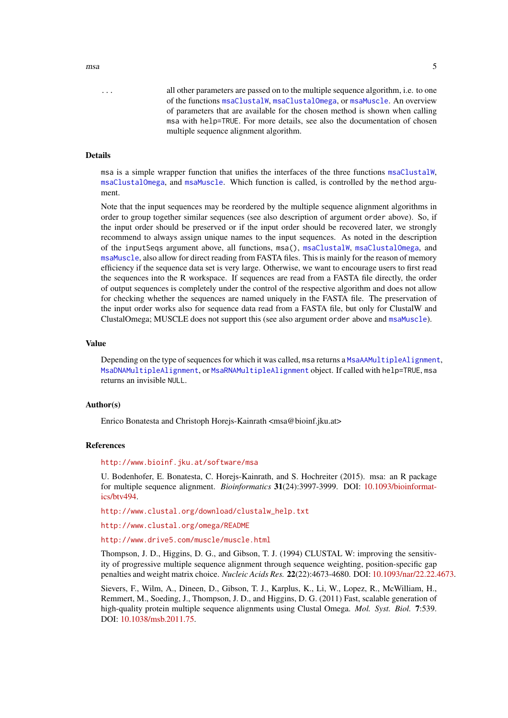<span id="page-4-0"></span>... all other parameters are passed on to the multiple sequence algorithm, i.e. to one of the functions [msaClustalW](#page-9-1), [msaClustalOmega](#page-7-1), or [msaMuscle](#page-20-1). An overview of parameters that are available for the chosen method is shown when calling msa with help=TRUE. For more details, see also the documentation of chosen multiple sequence alignment algorithm.

# Details

msa is a simple wrapper function that unifies the interfaces of the three functions [msaClustalW](#page-9-1), [msaClustalOmega](#page-7-1), and [msaMuscle](#page-20-1). Which function is called, is controlled by the method argument.

Note that the input sequences may be reordered by the multiple sequence alignment algorithms in order to group together similar sequences (see also description of argument order above). So, if the input order should be preserved or if the input order should be recovered later, we strongly recommend to always assign unique names to the input sequences. As noted in the description of the inputSeqs argument above, all functions, msa(), [msaClustalW](#page-9-1), [msaClustalOmega](#page-7-1), and [msaMuscle](#page-20-1), also allow for direct reading from FASTA files. This is mainly for the reason of memory efficiency if the sequence data set is very large. Otherwise, we want to encourage users to first read the sequences into the R workspace. If sequences are read from a FASTA file directly, the order of output sequences is completely under the control of the respective algorithm and does not allow for checking whether the sequences are named uniquely in the FASTA file. The preservation of the input order works also for sequence data read from a FASTA file, but only for ClustalW and ClustalOmega; MUSCLE does not support this (see also argument order above and [msaMuscle](#page-20-1)).

# Value

Depending on the type of sequences for which it was called, msa returns a [MsaAAMultipleAlignment](#page-18-1), [MsaDNAMultipleAlignment](#page-18-1), or [MsaRNAMultipleAlignment](#page-18-1) object. If called with help=TRUE, msa returns an invisible NULL.

#### Author(s)

Enrico Bonatesta and Christoph Horejs-Kainrath <msa@bioinf.jku.at>

#### References

#### <http://www.bioinf.jku.at/software/msa>

U. Bodenhofer, E. Bonatesta, C. Horejs-Kainrath, and S. Hochreiter (2015). msa: an R package for multiple sequence alignment. *Bioinformatics* 31(24):3997-3999. DOI: [10.1093/bioinformat](http://dx.doi.org/10.1093/bioinformatics/btv494)[ics/btv494.](http://dx.doi.org/10.1093/bioinformatics/btv494)

[http://www.clustal.org/download/clustalw\\_help.txt](http://www.clustal.org/download/clustalw_help.txt)

<http://www.clustal.org/omega/README>

<http://www.drive5.com/muscle/muscle.html>

Thompson, J. D., Higgins, D. G., and Gibson, T. J. (1994) CLUSTAL W: improving the sensitivity of progressive multiple sequence alignment through sequence weighting, position-specific gap penalties and weight matrix choice. *Nucleic Acids Res.* 22(22):4673-4680. DOI: [10.1093/nar/22.22.4673.](http://dx.doi.org/10.1093/nar/22.22.4673)

Sievers, F., Wilm, A., Dineen, D., Gibson, T. J., Karplus, K., Li, W., Lopez, R., McWilliam, H., Remmert, M., Soeding, J., Thompson, J. D., and Higgins, D. G. (2011) Fast, scalable generation of high-quality protein multiple sequence alignments using Clustal Omega. *Mol. Syst. Biol.* 7:539. DOI: [10.1038/msb.2011.75.](http://dx.doi.org/10.1038/msb.2011.75)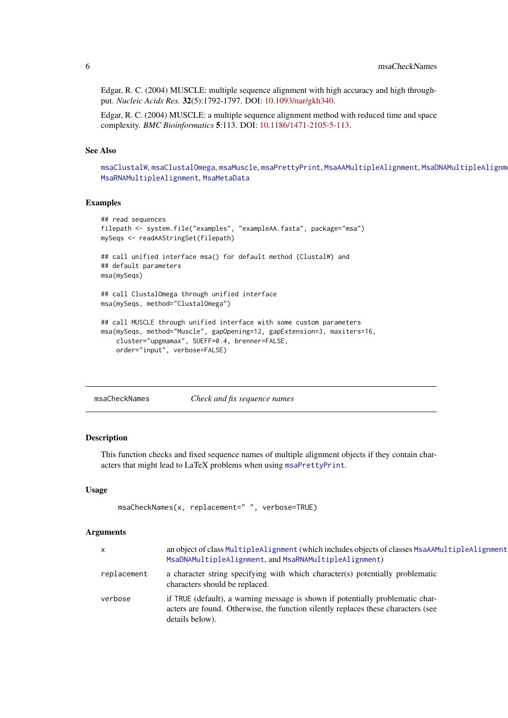Edgar, R. C. (2004) MUSCLE: multiple sequence alignment with high accuracy and high throughput. *Nucleic Acids Res.* 32(5):1792-1797. DOI: [10.1093/nar/gkh340.](http://dx.doi.org/10.1093/nar/gkh340)

Edgar, R. C. (2004) MUSCLE: a multiple sequence alignment method with reduced time and space complexity. *BMC Bioinformatics* 5:113. DOI: [10.1186/1471-2105-5-113.](http://dx.doi.org/10.1186/1471-2105-5-113)

#### See Also

[msaClustalW](#page-9-1), [msaClustalOmega](#page-7-1), [msaMuscle](#page-20-1), [msaPrettyPrint](#page-22-1), [MsaAAMultipleAlignment](#page-18-1), [MsaDNAMultipleAlignment](#page-18-1), [MsaRNAMultipleAlignment](#page-18-1), [MsaMetaData](#page-16-1)

#### Examples

```
## read sequences
filepath <- system.file("examples", "exampleAA.fasta", package="msa")
mySeqs <- readAAStringSet(filepath)
## call unified interface msa() for default method (ClustalW) and
## default parameters
msa(mySeqs)
## call ClustalOmega through unified interface
msa(mySeqs, method="ClustalOmega")
## call MUSCLE through unified interface with some custom parameters
msa(mySeqs, method="Muscle", gapOpening=12, gapExtension=3, maxiters=16,
    cluster="upgmamax", SUEFF=0.4, brenner=FALSE,
    order="input", verbose=FALSE)
```
<span id="page-5-1"></span>msaCheckNames *Check and fix sequence names*

#### Description

This function checks and fixed sequence names of multiple alignment objects if they contain characters that might lead to LaTeX problems when using [msaPrettyPrint](#page-22-1).

## Usage

```
msaCheckNames(x, replacement=" ", verbose=TRUE)
```
#### Arguments

| $\mathsf{x}$ | an object of class Multiple Alignment (which includes objects of classes MsaAAMultiple Alignment<br>MsaDNAMultipleAlignment, and MsaRNAMultipleAlignment)                              |
|--------------|----------------------------------------------------------------------------------------------------------------------------------------------------------------------------------------|
| replacement  | a character string specifying with which character(s) potentially problematic<br>characters should be replaced.                                                                        |
| verbose      | if TRUE (default), a warning message is shown if potentially problematic char-<br>acters are found. Otherwise, the function silently replaces these characters (see<br>details below). |

<span id="page-5-0"></span>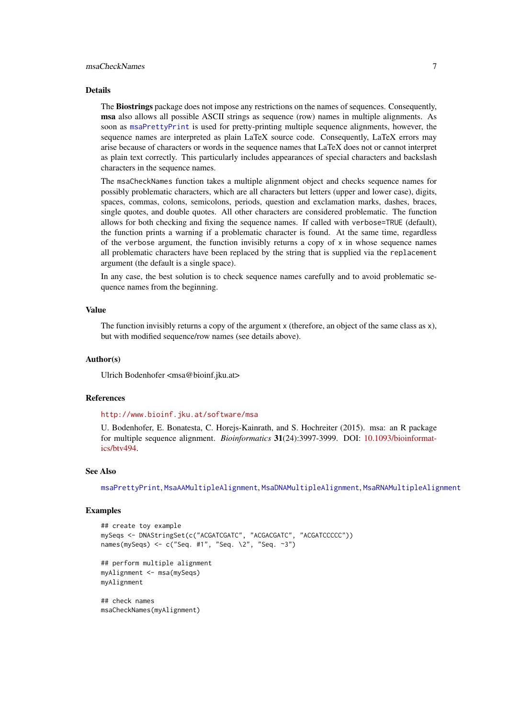#### <span id="page-6-0"></span>Details

The Biostrings package does not impose any restrictions on the names of sequences. Consequently, msa also allows all possible ASCII strings as sequence (row) names in multiple alignments. As soon as [msaPrettyPrint](#page-22-1) is used for pretty-printing multiple sequence alignments, however, the sequence names are interpreted as plain LaTeX source code. Consequently, LaTeX errors may arise because of characters or words in the sequence names that LaTeX does not or cannot interpret as plain text correctly. This particularly includes appearances of special characters and backslash characters in the sequence names.

The msaCheckNames function takes a multiple alignment object and checks sequence names for possibly problematic characters, which are all characters but letters (upper and lower case), digits, spaces, commas, colons, semicolons, periods, question and exclamation marks, dashes, braces, single quotes, and double quotes. All other characters are considered problematic. The function allows for both checking and fixing the sequence names. If called with verbose=TRUE (default), the function prints a warning if a problematic character is found. At the same time, regardless of the verbose argument, the function invisibly returns a copy of  $x$  in whose sequence names all problematic characters have been replaced by the string that is supplied via the replacement argument (the default is a single space).

In any case, the best solution is to check sequence names carefully and to avoid problematic sequence names from the beginning.

#### Value

The function invisibly returns a copy of the argument x (therefore, an object of the same class as x), but with modified sequence/row names (see details above).

# Author(s)

Ulrich Bodenhofer <msa@bioinf.jku.at>

#### References

<http://www.bioinf.jku.at/software/msa>

U. Bodenhofer, E. Bonatesta, C. Horejs-Kainrath, and S. Hochreiter (2015). msa: an R package for multiple sequence alignment. *Bioinformatics* 31(24):3997-3999. DOI: [10.1093/bioinformat](http://dx.doi.org/10.1093/bioinformatics/btv494)[ics/btv494.](http://dx.doi.org/10.1093/bioinformatics/btv494)

#### See Also

[msaPrettyPrint](#page-22-1), [MsaAAMultipleAlignment](#page-18-1), [MsaDNAMultipleAlignment](#page-18-1), [MsaRNAMultipleAlignment](#page-18-1)

#### Examples

```
## create toy example
mySeqs <- DNAStringSet(c("ACGATCGATC", "ACGACGATC", "ACGATCCCCC"))
names(mySeqs) <- c("Seq. #1", "Seq. \2", "Seq. ~3")
```

```
## perform multiple alignment
myAlignment <- msa(mySeqs)
myAlignment
```
## check names msaCheckNames(myAlignment)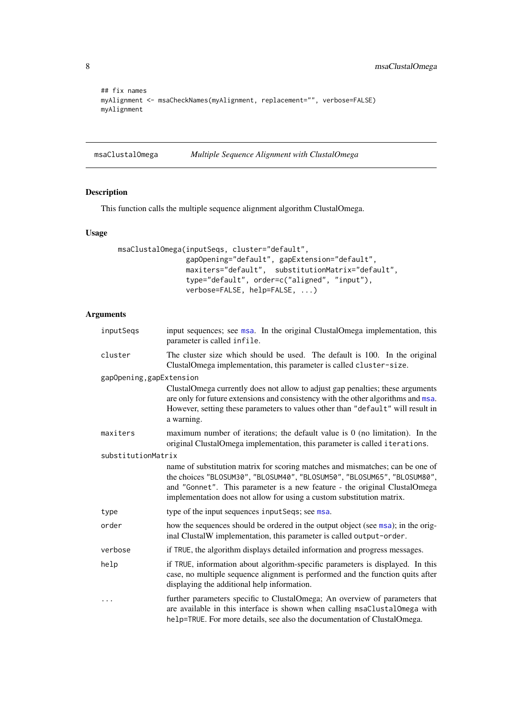```
## fix names
myAlignment <- msaCheckNames(myAlignment, replacement="", verbose=FALSE)
myAlignment
```
<span id="page-7-1"></span>msaClustalOmega *Multiple Sequence Alignment with ClustalOmega*

# Description

This function calls the multiple sequence alignment algorithm ClustalOmega.

### Usage

```
msaClustalOmega(inputSeqs, cluster="default",
                gapOpening="default", gapExtension="default",
                maxiters="default", substitutionMatrix="default",
                type="default", order=c("aligned", "input"),
                verbose=FALSE, help=FALSE, ...)
```
# Arguments

| inputSeqs                | input sequences; see msa. In the original ClustalOmega implementation, this<br>parameter is called infile.                                                                                                                                                                                                     |
|--------------------------|----------------------------------------------------------------------------------------------------------------------------------------------------------------------------------------------------------------------------------------------------------------------------------------------------------------|
| cluster                  | The cluster size which should be used. The default is 100. In the original<br>ClustalOmega implementation, this parameter is called cluster-size.                                                                                                                                                              |
| gapOpening, gapExtension |                                                                                                                                                                                                                                                                                                                |
|                          | ClustalOmega currently does not allow to adjust gap penalties; these arguments<br>are only for future extensions and consistency with the other algorithms and msa.<br>However, setting these parameters to values other than "default" will result in<br>a warning.                                           |
| maxiters                 | maximum number of iterations; the default value is $0$ (no limitation). In the<br>original ClustalOmega implementation, this parameter is called iterations.                                                                                                                                                   |
| substitutionMatrix       |                                                                                                                                                                                                                                                                                                                |
|                          | name of substitution matrix for scoring matches and mismatches; can be one of<br>the choices "BLOSUM30", "BLOSUM40", "BLOSUM50", "BLOSUM65", "BLOSUM80",<br>and "Gonnet". This parameter is a new feature - the original ClustalOmega<br>implementation does not allow for using a custom substitution matrix. |
| type                     | type of the input sequences inputSeqs; see msa.                                                                                                                                                                                                                                                                |
| order                    | how the sequences should be ordered in the output object (see msa); in the orig-<br>inal ClustalW implementation, this parameter is called output-order.                                                                                                                                                       |
| verbose                  | if TRUE, the algorithm displays detailed information and progress messages.                                                                                                                                                                                                                                    |
| help                     | if TRUE, information about algorithm-specific parameters is displayed. In this<br>case, no multiple sequence alignment is performed and the function quits after<br>displaying the additional help information.                                                                                                |
| .                        | further parameters specific to ClustalOmega; An overview of parameters that<br>are available in this interface is shown when calling msaClustalOmega with<br>help=TRUE. For more details, see also the documentation of ClustalOmega.                                                                          |

<span id="page-7-0"></span>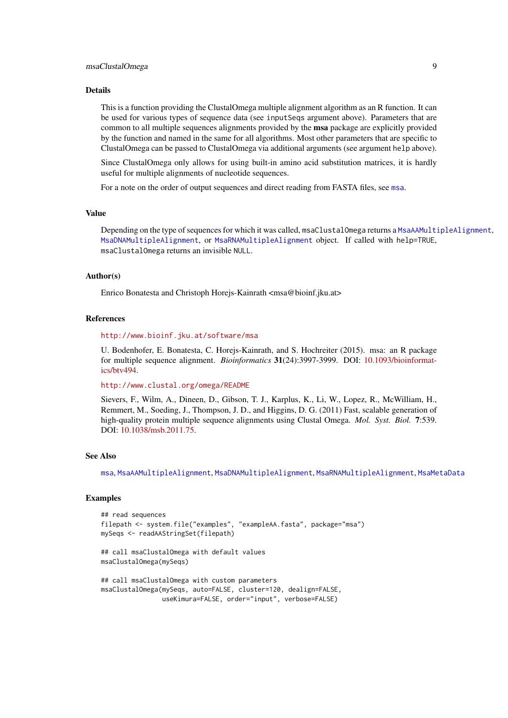#### <span id="page-8-0"></span>msaClustalOmega 9

#### Details

This is a function providing the ClustalOmega multiple alignment algorithm as an R function. It can be used for various types of sequence data (see inputSeqs argument above). Parameters that are common to all multiple sequences alignments provided by the msa package are explicitly provided by the function and named in the same for all algorithms. Most other parameters that are specific to ClustalOmega can be passed to ClustalOmega via additional arguments (see argument help above).

Since ClustalOmega only allows for using built-in amino acid substitution matrices, it is hardly useful for multiple alignments of nucleotide sequences.

For a note on the order of output sequences and direct reading from FASTA files, see [msa](#page-2-1).

# Value

Depending on the type of sequences for which it was called, msaClustalOmega returns a [MsaAAMultipleAlignment](#page-18-1), [MsaDNAMultipleAlignment](#page-18-1), or [MsaRNAMultipleAlignment](#page-18-1) object. If called with help=TRUE, msaClustalOmega returns an invisible NULL.

# Author(s)

Enrico Bonatesta and Christoph Horejs-Kainrath <msa@bioinf.jku.at>

#### References

<http://www.bioinf.jku.at/software/msa>

U. Bodenhofer, E. Bonatesta, C. Horejs-Kainrath, and S. Hochreiter (2015). msa: an R package for multiple sequence alignment. *Bioinformatics* 31(24):3997-3999. DOI: [10.1093/bioinformat](http://dx.doi.org/10.1093/bioinformatics/btv494)[ics/btv494.](http://dx.doi.org/10.1093/bioinformatics/btv494)

<http://www.clustal.org/omega/README>

Sievers, F., Wilm, A., Dineen, D., Gibson, T. J., Karplus, K., Li, W., Lopez, R., McWilliam, H., Remmert, M., Soeding, J., Thompson, J. D., and Higgins, D. G. (2011) Fast, scalable generation of high-quality protein multiple sequence alignments using Clustal Omega. *Mol. Syst. Biol.* 7:539. DOI: [10.1038/msb.2011.75.](http://dx.doi.org/10.1038/msb.2011.75)

# See Also

[msa](#page-2-1), [MsaAAMultipleAlignment](#page-18-1), [MsaDNAMultipleAlignment](#page-18-1), [MsaRNAMultipleAlignment](#page-18-1), [MsaMetaData](#page-16-1)

# Examples

```
## read sequences
filepath <- system.file("examples", "exampleAA.fasta", package="msa")
mySeqs <- readAAStringSet(filepath)
## call msaClustalOmega with default values
```
msaClustalOmega(mySeqs)

## call msaClustalOmega with custom parameters msaClustalOmega(mySeqs, auto=FALSE, cluster=120, dealign=FALSE, useKimura=FALSE, order="input", verbose=FALSE)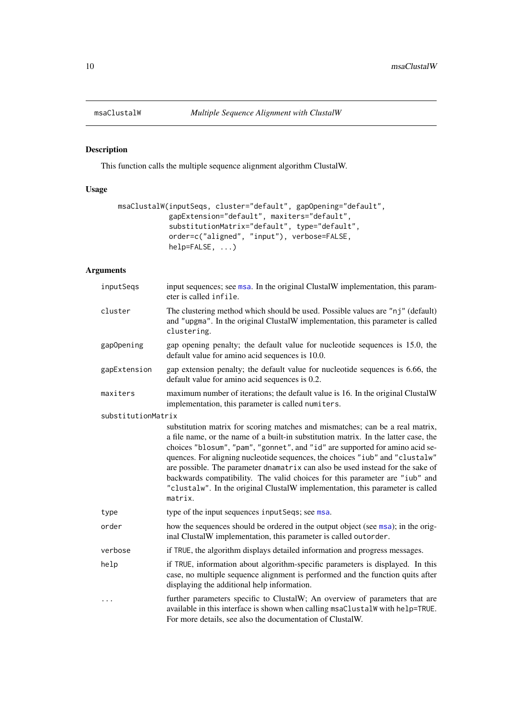<span id="page-9-1"></span><span id="page-9-0"></span>

# Description

This function calls the multiple sequence alignment algorithm ClustalW.

# Usage

```
msaClustalW(inputSeqs, cluster="default", gapOpening="default",
            gapExtension="default", maxiters="default",
            substitutionMatrix="default", type="default",
            order=c("aligned", "input"), verbose=FALSE,
            help=FALSE, ...)
```
# Arguments

| inputSeqs          | input sequences; see msa. In the original ClustalW implementation, this param-<br>eter is called infile.                                                                                                                                                                                                                                                                                                                                                                                                                                                                                          |
|--------------------|---------------------------------------------------------------------------------------------------------------------------------------------------------------------------------------------------------------------------------------------------------------------------------------------------------------------------------------------------------------------------------------------------------------------------------------------------------------------------------------------------------------------------------------------------------------------------------------------------|
| cluster            | The clustering method which should be used. Possible values are "nj" (default)<br>and "upgma". In the original ClustalW implementation, this parameter is called<br>clustering.                                                                                                                                                                                                                                                                                                                                                                                                                   |
| gapOpening         | gap opening penalty; the default value for nucleotide sequences is 15.0, the<br>default value for amino acid sequences is 10.0.                                                                                                                                                                                                                                                                                                                                                                                                                                                                   |
| gapExtension       | gap extension penalty; the default value for nucleotide sequences is 6.66, the<br>default value for amino acid sequences is 0.2.                                                                                                                                                                                                                                                                                                                                                                                                                                                                  |
| maxiters           | maximum number of iterations; the default value is 16. In the original ClustalW<br>implementation, this parameter is called numiters.                                                                                                                                                                                                                                                                                                                                                                                                                                                             |
| substitutionMatrix |                                                                                                                                                                                                                                                                                                                                                                                                                                                                                                                                                                                                   |
|                    | substitution matrix for scoring matches and mismatches; can be a real matrix,<br>a file name, or the name of a built-in substitution matrix. In the latter case, the<br>choices "blosum", "pam", "gonnet", and "id" are supported for amino acid se-<br>quences. For aligning nucleotide sequences, the choices "iub" and "clustalw"<br>are possible. The parameter dnamatrix can also be used instead for the sake of<br>backwards compatibility. The valid choices for this parameter are "iub" and<br>"clustalw". In the original ClustalW implementation, this parameter is called<br>matrix. |
| type               | type of the input sequences input Seqs; see msa.                                                                                                                                                                                                                                                                                                                                                                                                                                                                                                                                                  |
| order              | how the sequences should be ordered in the output object (see msa); in the orig-<br>inal ClustalW implementation, this parameter is called outorder.                                                                                                                                                                                                                                                                                                                                                                                                                                              |
| verbose            | if TRUE, the algorithm displays detailed information and progress messages.                                                                                                                                                                                                                                                                                                                                                                                                                                                                                                                       |
| help               | if TRUE, information about algorithm-specific parameters is displayed. In this<br>case, no multiple sequence alignment is performed and the function quits after<br>displaying the additional help information.                                                                                                                                                                                                                                                                                                                                                                                   |
| .                  | further parameters specific to ClustalW; An overview of parameters that are<br>available in this interface is shown when calling msaClustalW with help=TRUE.<br>For more details, see also the documentation of ClustalW.                                                                                                                                                                                                                                                                                                                                                                         |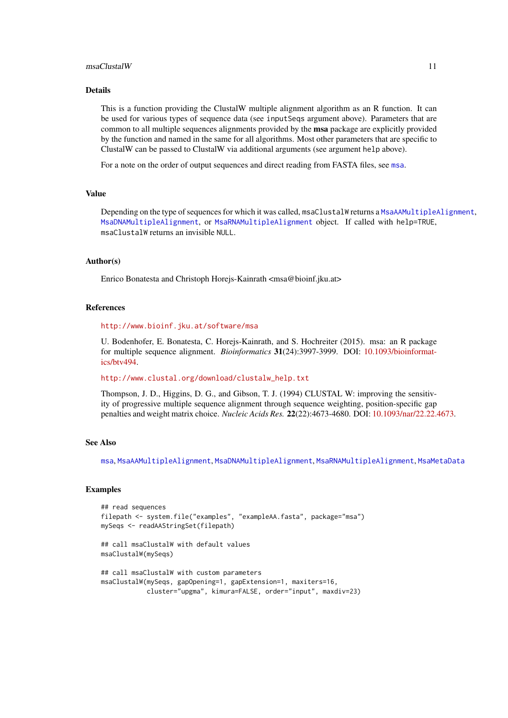#### <span id="page-10-0"></span>msaClustalW 11

#### Details

This is a function providing the ClustalW multiple alignment algorithm as an R function. It can be used for various types of sequence data (see inputSeqs argument above). Parameters that are common to all multiple sequences alignments provided by the msa package are explicitly provided by the function and named in the same for all algorithms. Most other parameters that are specific to ClustalW can be passed to ClustalW via additional arguments (see argument help above).

For a note on the order of output sequences and direct reading from FASTA files, see [msa](#page-2-1).

#### Value

Depending on the type of sequences for which it was called, msaClustalW returns a [MsaAAMultipleAlignment](#page-18-1), [MsaDNAMultipleAlignment](#page-18-1), or [MsaRNAMultipleAlignment](#page-18-1) object. If called with help=TRUE, msaClustalW returns an invisible NULL.

#### Author(s)

Enrico Bonatesta and Christoph Horejs-Kainrath <msa@bioinf.jku.at>

#### References

<http://www.bioinf.jku.at/software/msa>

U. Bodenhofer, E. Bonatesta, C. Horejs-Kainrath, and S. Hochreiter (2015). msa: an R package for multiple sequence alignment. *Bioinformatics* 31(24):3997-3999. DOI: [10.1093/bioinformat](http://dx.doi.org/10.1093/bioinformatics/btv494)[ics/btv494.](http://dx.doi.org/10.1093/bioinformatics/btv494)

[http://www.clustal.org/download/clustalw\\_help.txt](http://www.clustal.org/download/clustalw_help.txt)

Thompson, J. D., Higgins, D. G., and Gibson, T. J. (1994) CLUSTAL W: improving the sensitivity of progressive multiple sequence alignment through sequence weighting, position-specific gap penalties and weight matrix choice. *Nucleic Acids Res.* 22(22):4673-4680. DOI: [10.1093/nar/22.22.4673.](http://dx.doi.org/10.1093/nar/22.22.4673)

# See Also

[msa](#page-2-1), [MsaAAMultipleAlignment](#page-18-1), [MsaDNAMultipleAlignment](#page-18-1), [MsaRNAMultipleAlignment](#page-18-1), [MsaMetaData](#page-16-1)

```
## read sequences
filepath <- system.file("examples", "exampleAA.fasta", package="msa")
mySeqs <- readAAStringSet(filepath)
## call msaClustalW with default values
msaClustalW(mySeqs)
## call msaClustalW with custom parameters
msaClustalW(mySeqs, gapOpening=1, gapExtension=1, maxiters=16,
            cluster="upgma", kimura=FALSE, order="input", maxdiv=23)
```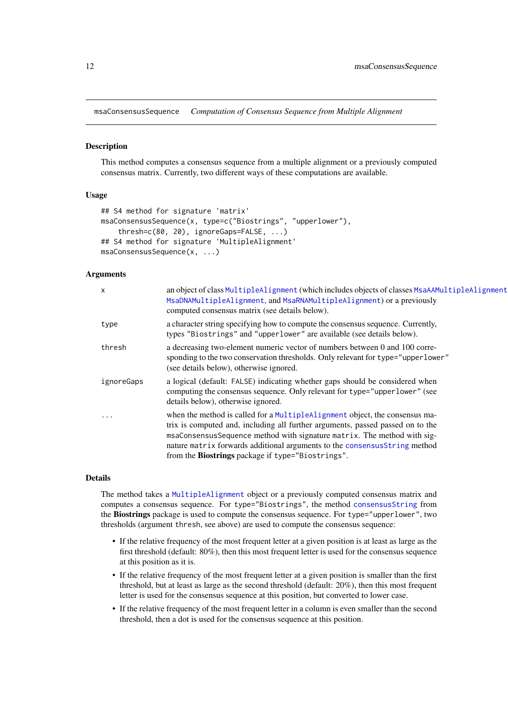<span id="page-11-1"></span><span id="page-11-0"></span>msaConsensusSequence *Computation of Consensus Sequence from Multiple Alignment*

# **Description**

This method computes a consensus sequence from a multiple alignment or a previously computed consensus matrix. Currently, two different ways of these computations are available.

#### Usage

```
## S4 method for signature 'matrix'
msaConsensusSequence(x, type=c("Biostrings", "upperlower"),
    thresh=c(80, 20), ignoreGaps=FALSE, ...)
## S4 method for signature 'MultipleAlignment'
msaConsensusSequence(x, ...)
```
# Arguments

| $\times$   | an object of class MultipleAlignment (which includes objects of classes MsaAAMultipleAlignment<br>MsaDNAMultipleAlignment, and MsaRNAMultipleAlignment) or a previously<br>computed consensus matrix (see details below).                                                                                                                                                  |
|------------|----------------------------------------------------------------------------------------------------------------------------------------------------------------------------------------------------------------------------------------------------------------------------------------------------------------------------------------------------------------------------|
| type       | a character string specifying how to compute the consensus sequence. Currently,<br>types "Biostrings" and "upperlower" are available (see details below).                                                                                                                                                                                                                  |
| thresh     | a decreasing two-element numeric vector of numbers between 0 and 100 corre-<br>sponding to the two conservation thresholds. Only relevant for type="upperlower"<br>(see details below), otherwise ignored.                                                                                                                                                                 |
| ignoreGaps | a logical (default: FALSE) indicating whether gaps should be considered when<br>computing the consensus sequence. Only relevant for type="upperlower" (see<br>details below), otherwise ignored.                                                                                                                                                                           |
| $\cdots$   | when the method is called for a MultipleAlignment object, the consensus ma-<br>trix is computed and, including all further arguments, passed passed on to the<br>msaConsensusSequence method with signature matrix. The method with sig-<br>nature matrix forwards additional arguments to the consensusString method<br>from the Biostrings package if type="Biostrings". |

#### Details

The method takes a [MultipleAlignment](#page-0-0) object or a previously computed consensus matrix and computes a consensus sequence. For type="Biostrings", the method [consensusString](#page-0-0) from the Biostrings package is used to compute the consensus sequence. For type="upperlower", two thresholds (argument thresh, see above) are used to compute the consensus sequence:

- If the relative frequency of the most frequent letter at a given position is at least as large as the first threshold (default: 80%), then this most frequent letter is used for the consensus sequence at this position as it is.
- If the relative frequency of the most frequent letter at a given position is smaller than the first threshold, but at least as large as the second threshold (default: 20%), then this most frequent letter is used for the consensus sequence at this position, but converted to lower case.
- If the relative frequency of the most frequent letter in a column is even smaller than the second threshold, then a dot is used for the consensus sequence at this position.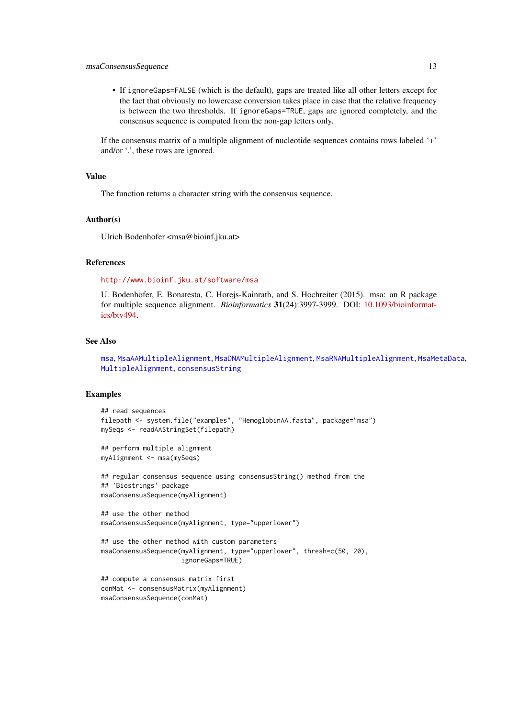#### <span id="page-12-0"></span>msaConsensusSequence 13

• If ignoreGaps=FALSE (which is the default), gaps are treated like all other letters except for the fact that obviously no lowercase conversion takes place in case that the relative frequency is between the two thresholds. If ignoreGaps=TRUE, gaps are ignored completely, and the consensus sequence is computed from the non-gap letters only.

If the consensus matrix of a multiple alignment of nucleotide sequences contains rows labeled '+' and/or  $\therefore$ , these rows are ignored.

# Value

The function returns a character string with the consensus sequence.

#### Author(s)

Ulrich Bodenhofer <msa@bioinf.jku.at>

#### References

#### <http://www.bioinf.jku.at/software/msa>

U. Bodenhofer, E. Bonatesta, C. Horejs-Kainrath, and S. Hochreiter (2015). msa: an R package for multiple sequence alignment. *Bioinformatics* 31(24):3997-3999. DOI: [10.1093/bioinformat](http://dx.doi.org/10.1093/bioinformatics/btv494)[ics/btv494.](http://dx.doi.org/10.1093/bioinformatics/btv494)

# See Also

[msa](#page-2-1), [MsaAAMultipleAlignment](#page-18-1), [MsaDNAMultipleAlignment](#page-18-1), [MsaRNAMultipleAlignment](#page-18-1), [MsaMetaData](#page-16-1), [MultipleAlignment](#page-0-0), [consensusString](#page-0-0)

```
## read sequences
filepath <- system.file("examples", "HemoglobinAA.fasta", package="msa")
mySeqs <- readAAStringSet(filepath)
## perform multiple alignment
myAlignment <- msa(mySeqs)
## regular consensus sequence using consensusString() method from the
## 'Biostrings' package
msaConsensusSequence(myAlignment)
## use the other method
msaConsensusSequence(myAlignment, type="upperlower")
## use the other method with custom parameters
msaConsensusSequence(myAlignment, type="upperlower", thresh=c(50, 20),
                     ignoreGaps=TRUE)
```

```
## compute a consensus matrix first
conMat <- consensusMatrix(myAlignment)
msaConsensusSequence(conMat)
```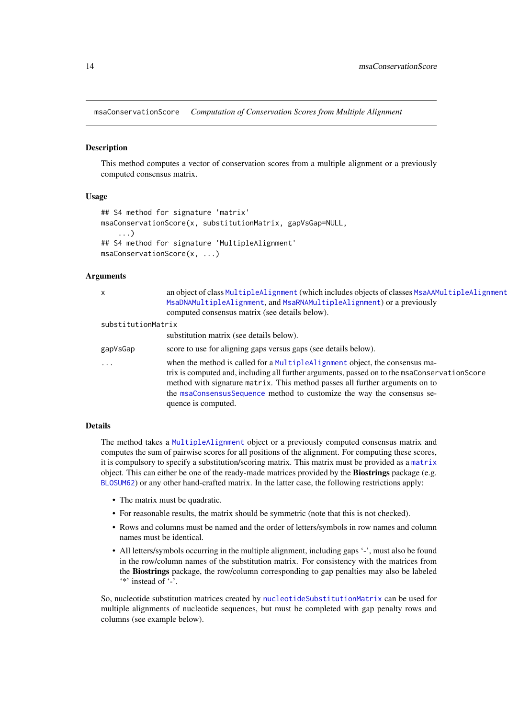<span id="page-13-0"></span>msaConservationScore *Computation of Conservation Scores from Multiple Alignment*

#### Description

This method computes a vector of conservation scores from a multiple alignment or a previously computed consensus matrix.

#### Usage

```
## S4 method for signature 'matrix'
msaConservationScore(x, substitutionMatrix, gapVsGap=NULL,
    ...)
## S4 method for signature 'MultipleAlignment'
msaConservationScore(x, ...)
```
# Arguments

| $\mathsf{x}$       | an object of class MultipleAlignment (which includes objects of classes MsaAAMultipleAlignment<br>MsaDNAMultipleAlignment, and MsaRNAMultipleAlignment) or a previously<br>computed consensus matrix (see details below).                                                                                                                                    |
|--------------------|--------------------------------------------------------------------------------------------------------------------------------------------------------------------------------------------------------------------------------------------------------------------------------------------------------------------------------------------------------------|
| substitutionMatrix |                                                                                                                                                                                                                                                                                                                                                              |
|                    | substitution matrix (see details below).                                                                                                                                                                                                                                                                                                                     |
| gapVsGap           | score to use for aligning gaps versus gaps (see details below).                                                                                                                                                                                                                                                                                              |
| $\ddotsc$          | when the method is called for a MultipleAlignment object, the consensus ma-<br>trix is computed and, including all further arguments, passed on to the msaConservationScore<br>method with signature matrix. This method passes all further arguments on to<br>the msaConsensusSequence method to customize the way the consensus se-<br>quence is computed. |

# Details

The method takes a [MultipleAlignment](#page-0-0) object or a previously computed consensus matrix and computes the sum of pairwise scores for all positions of the alignment. For computing these scores, it is compulsory to specify a substitution/scoring matrix. This matrix must be provided as a [matrix](#page-0-0) object. This can either be one of the ready-made matrices provided by the Biostrings package (e.g. [BLOSUM62](#page-0-0)) or any other hand-crafted matrix. In the latter case, the following restrictions apply:

- The matrix must be quadratic.
- For reasonable results, the matrix should be symmetric (note that this is not checked).
- Rows and columns must be named and the order of letters/symbols in row names and column names must be identical.
- All letters/symbols occurring in the multiple alignment, including gaps '-', must also be found in the row/column names of the substitution matrix. For consistency with the matrices from the Biostrings package, the row/column corresponding to gap penalties may also be labeled '\*' instead of '-'.

So, nucleotide substitution matrices created by [nucleotideSubstitutionMatrix](#page-0-0) can be used for multiple alignments of nucleotide sequences, but must be completed with gap penalty rows and columns (see example below).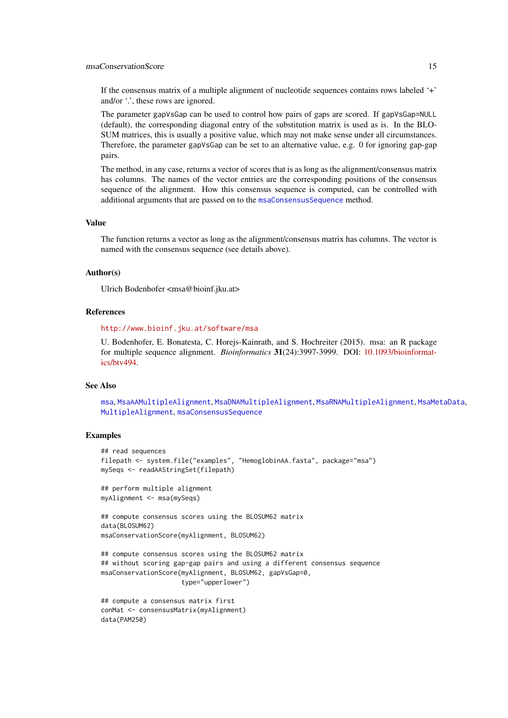<span id="page-14-0"></span>If the consensus matrix of a multiple alignment of nucleotide sequences contains rows labeled '+' and/or  $\therefore$ , these rows are ignored.

The parameter gapVsGap can be used to control how pairs of gaps are scored. If gapVsGap=NULL (default), the corresponding diagonal entry of the substitution matrix is used as is. In the BLO-SUM matrices, this is usually a positive value, which may not make sense under all circumstances. Therefore, the parameter gapVsGap can be set to an alternative value, e.g. 0 for ignoring gap-gap pairs.

The method, in any case, returns a vector of scores that is as long as the alignment/consensus matrix has columns. The names of the vector entries are the corresponding positions of the consensus sequence of the alignment. How this consensus sequence is computed, can be controlled with additional arguments that are passed on to the [msaConsensusSequence](#page-11-1) method.

#### Value

The function returns a vector as long as the alignment/consensus matrix has columns. The vector is named with the consensus sequence (see details above).

#### Author(s)

Ulrich Bodenhofer <msa@bioinf.jku.at>

# References

#### <http://www.bioinf.jku.at/software/msa>

U. Bodenhofer, E. Bonatesta, C. Horejs-Kainrath, and S. Hochreiter (2015). msa: an R package for multiple sequence alignment. *Bioinformatics* 31(24):3997-3999. DOI: [10.1093/bioinformat](http://dx.doi.org/10.1093/bioinformatics/btv494)[ics/btv494.](http://dx.doi.org/10.1093/bioinformatics/btv494)

# See Also

[msa](#page-2-1), [MsaAAMultipleAlignment](#page-18-1), [MsaDNAMultipleAlignment](#page-18-1), [MsaRNAMultipleAlignment](#page-18-1), [MsaMetaData](#page-16-1), [MultipleAlignment](#page-0-0), [msaConsensusSequence](#page-11-1)

#### Examples

data(PAM250)

```
## read sequences
filepath <- system.file("examples", "HemoglobinAA.fasta", package="msa")
mySeqs <- readAAStringSet(filepath)
## perform multiple alignment
myAlignment <- msa(mySeqs)
## compute consensus scores using the BLOSUM62 matrix
data(BLOSUM62)
msaConservationScore(myAlignment, BLOSUM62)
## compute consensus scores using the BLOSUM62 matrix
## without scoring gap-gap pairs and using a different consensus sequence
msaConservationScore(myAlignment, BLOSUM62, gapVsGap=0,
                     type="upperlower")
## compute a consensus matrix first
conMat <- consensusMatrix(myAlignment)
```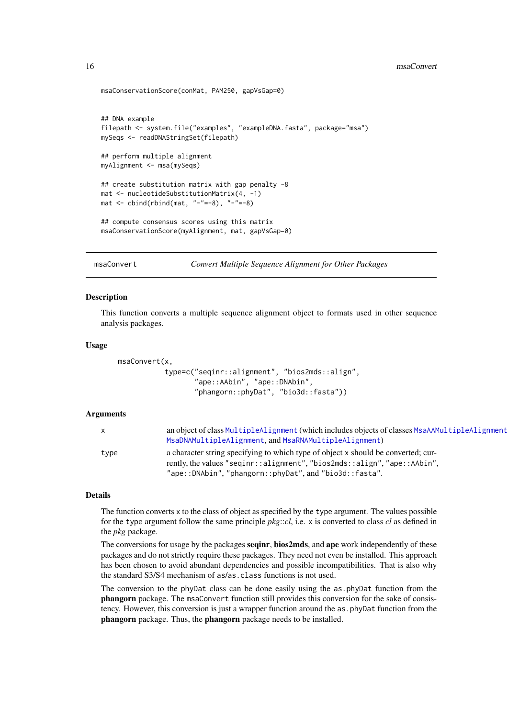```
msaConservationScore(conMat, PAM250, gapVsGap=0)
## DNA example
filepath <- system.file("examples", "exampleDNA.fasta", package="msa")
mySeqs <- readDNAStringSet(filepath)
## perform multiple alignment
myAlignment <- msa(mySeqs)
## create substitution matrix with gap penalty -8
mat <- nucleotideSubstitutionMatrix(4, -1)
mat < - child(rbind(max, "--"=-8), "--"=-8)## compute consensus scores using this matrix
msaConservationScore(myAlignment, mat, gapVsGap=0)
```
msaConvert *Convert Multiple Sequence Alignment for Other Packages*

# Description

This function converts a multiple sequence alignment object to formats used in other sequence analysis packages.

#### Usage

```
msaConvert(x,
           type=c("seqinr::alignment", "bios2mds::align",
                  "ape::AAbin", "ape::DNAbin",
                  "phangorn::phyDat", "bio3d::fasta"))
```
# Arguments

| X    | an object of class MultipleAlignment (which includes objects of classes MsaAAMultipleAlignment<br>MsaDNAMultipleAlignment, and MsaRNAMultipleAlignment)                                                                 |
|------|-------------------------------------------------------------------------------------------------------------------------------------------------------------------------------------------------------------------------|
| type | a character string specifying to which type of object x should be converted; cur-<br>rently, the values "seqinr::alignment", "bios2mds::align", "ape::AAbin",<br>"ape::DNAbin", "phangorn::phyDat", and "bio3d::fasta". |

#### Details

The function converts x to the class of object as specified by the type argument. The values possible for the type argument follow the same principle *pkg*::*cl*, i.e. x is converted to class *cl* as defined in the *pkg* package.

The conversions for usage by the packages seqinr, bios2mds, and ape work independently of these packages and do not strictly require these packages. They need not even be installed. This approach has been chosen to avoid abundant dependencies and possible incompatibilities. That is also why the standard S3/S4 mechanism of as/as.class functions is not used.

The conversion to the phyDat class can be done easily using the as.phyDat function from the phangorn package. The msaConvert function still provides this conversion for the sake of consistency. However, this conversion is just a wrapper function around the as phyDat function from the phangorn package. Thus, the phangorn package needs to be installed.

<span id="page-15-0"></span>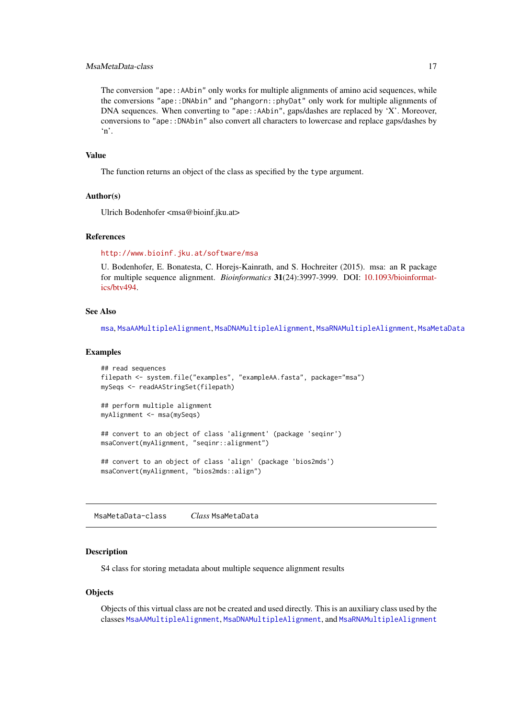#### <span id="page-16-0"></span>MsaMetaData-class 17

The conversion "ape::AAbin" only works for multiple alignments of amino acid sequences, while the conversions "ape::DNAbin" and "phangorn::phyDat" only work for multiple alignments of DNA sequences. When converting to "ape::AAbin", gaps/dashes are replaced by 'X'. Moreover, conversions to "ape::DNAbin" also convert all characters to lowercase and replace gaps/dashes by 'n'.

#### Value

The function returns an object of the class as specified by the type argument.

### Author(s)

Ulrich Bodenhofer <msa@bioinf.jku.at>

## References

<http://www.bioinf.jku.at/software/msa>

U. Bodenhofer, E. Bonatesta, C. Horejs-Kainrath, and S. Hochreiter (2015). msa: an R package for multiple sequence alignment. *Bioinformatics* 31(24):3997-3999. DOI: [10.1093/bioinformat](http://dx.doi.org/10.1093/bioinformatics/btv494)[ics/btv494.](http://dx.doi.org/10.1093/bioinformatics/btv494)

# See Also

[msa](#page-2-1), [MsaAAMultipleAlignment](#page-18-1), [MsaDNAMultipleAlignment](#page-18-1), [MsaRNAMultipleAlignment](#page-18-1), [MsaMetaData](#page-16-1)

# Examples

```
## read sequences
filepath <- system.file("examples", "exampleAA.fasta", package="msa")
mySeqs <- readAAStringSet(filepath)
## perform multiple alignment
myAlignment <- msa(mySeqs)
## convert to an object of class 'alignment' (package 'seqinr')
msaConvert(myAlignment, "seqinr::alignment")
## convert to an object of class 'align' (package 'bios2mds')
msaConvert(myAlignment, "bios2mds::align")
```
<span id="page-16-1"></span>MsaMetaData-class *Class* MsaMetaData

#### Description

S4 class for storing metadata about multiple sequence alignment results

# **Objects**

Objects of this virtual class are not be created and used directly. This is an auxiliary class used by the classes [MsaAAMultipleAlignment](#page-18-1), [MsaDNAMultipleAlignment](#page-18-1), and [MsaRNAMultipleAlignment](#page-18-1)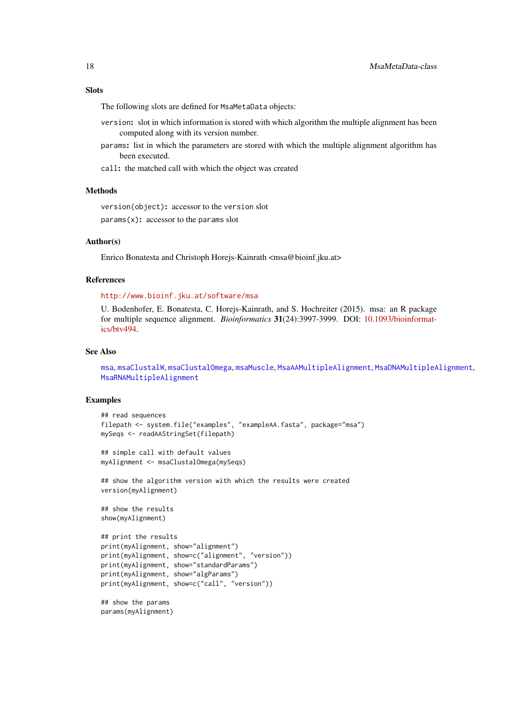#### <span id="page-17-0"></span>Slots

The following slots are defined for MsaMetaData objects:

- version: slot in which information is stored with which algorithm the multiple alignment has been computed along with its version number.
- params: list in which the parameters are stored with which the multiple alignment algorithm has been executed.
- call: the matched call with which the object was created

#### Methods

version(object): accessor to the version slot  $params(x)$ : accessor to the params slot

#### Author(s)

Enrico Bonatesta and Christoph Horejs-Kainrath <msa@bioinf.jku.at>

#### References

<http://www.bioinf.jku.at/software/msa>

U. Bodenhofer, E. Bonatesta, C. Horejs-Kainrath, and S. Hochreiter (2015). msa: an R package for multiple sequence alignment. *Bioinformatics* 31(24):3997-3999. DOI: [10.1093/bioinformat](http://dx.doi.org/10.1093/bioinformatics/btv494)[ics/btv494.](http://dx.doi.org/10.1093/bioinformatics/btv494)

# See Also

[msa](#page-2-1), [msaClustalW](#page-9-1), [msaClustalOmega](#page-7-1), [msaMuscle](#page-20-1), [MsaAAMultipleAlignment](#page-18-1), [MsaDNAMultipleAlignment](#page-18-1), [MsaRNAMultipleAlignment](#page-18-1)

```
## read sequences
filepath <- system.file("examples", "exampleAA.fasta", package="msa")
mySeqs <- readAAStringSet(filepath)
## simple call with default values
myAlignment <- msaClustalOmega(mySeqs)
## show the algorithm version with which the results were created
version(myAlignment)
## show the results
show(myAlignment)
## print the results
print(myAlignment, show="alignment")
print(myAlignment, show=c("alignment", "version"))
print(myAlignment, show="standardParams")
print(myAlignment, show="algParams")
print(myAlignment, show=c("call", "version"))
## show the params
params(myAlignment)
```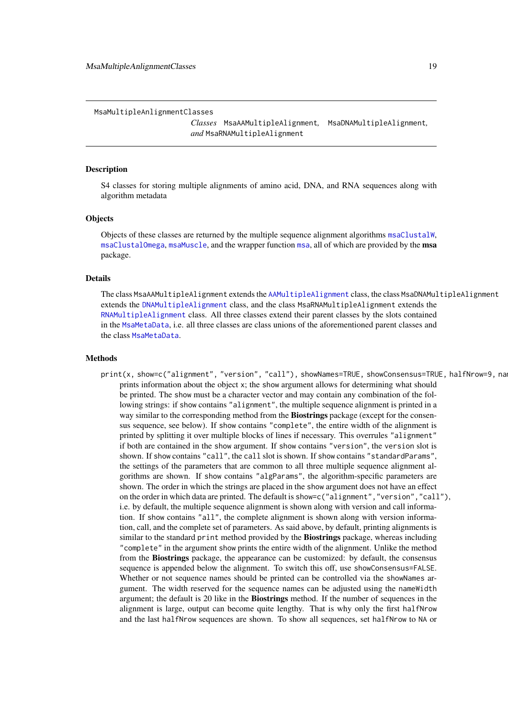<span id="page-18-0"></span>MsaMultipleAnlignmentClasses

*Classes* MsaAAMultipleAlignment*,* MsaDNAMultipleAlignment*, and* MsaRNAMultipleAlignment

#### <span id="page-18-1"></span>**Description**

S4 classes for storing multiple alignments of amino acid, DNA, and RNA sequences along with algorithm metadata

# **Objects**

Objects of these classes are returned by the multiple sequence alignment algorithms [msaClustalW](#page-9-1), [msaClustalOmega](#page-7-1), [msaMuscle](#page-20-1), and the wrapper function [msa](#page-2-1), all of which are provided by the msa package.

#### Details

The class MsaAAMultipleAlignment extends the [AAMultipleAlignment](#page-0-0) class, the class MsaDNAMultipleAlignment extends the [DNAMultipleAlignment](#page-0-0) class, and the class MsaRNAMultipleAlignment extends the [RNAMultipleAlignment](#page-0-0) class. All three classes extend their parent classes by the slots contained in the [MsaMetaData](#page-16-1), i.e. all three classes are class unions of the aforementioned parent classes and the class [MsaMetaData](#page-16-1).

#### Methods

print(x, show=c("alignment", "version", "call"), showNames=TRUE, showConsensus=TRUE, halfNrow=9, na prints information about the object x; the show argument allows for determining what should be printed. The show must be a character vector and may contain any combination of the following strings: if show contains "alignment", the multiple sequence alignment is printed in a way similar to the corresponding method from the Biostrings package (except for the consensus sequence, see below). If show contains "complete", the entire width of the alignment is printed by splitting it over multiple blocks of lines if necessary. This overrules "alignment" if both are contained in the show argument. If show contains "version", the version slot is shown. If show contains "call", the call slot is shown. If show contains "standardParams", the settings of the parameters that are common to all three multiple sequence alignment algorithms are shown. If show contains "algParams", the algorithm-specific parameters are shown. The order in which the strings are placed in the show argument does not have an effect on the order in which data are printed. The default is show=c("alignment","version","call"), i.e. by default, the multiple sequence alignment is shown along with version and call information. If show contains "all", the complete alignment is shown along with version information, call, and the complete set of parameters. As said above, by default, printing alignments is similar to the standard print method provided by the Biostrings package, whereas including "complete" in the argument show prints the entire width of the alignment. Unlike the method from the Biostrings package, the appearance can be customized: by default, the consensus sequence is appended below the alignment. To switch this off, use showConsensus=FALSE. Whether or not sequence names should be printed can be controlled via the showNames argument. The width reserved for the sequence names can be adjusted using the nameWidth argument; the default is 20 like in the Biostrings method. If the number of sequences in the alignment is large, output can become quite lengthy. That is why only the first halfNrow and the last halfNrow sequences are shown. To show all sequences, set halfNrow to NA or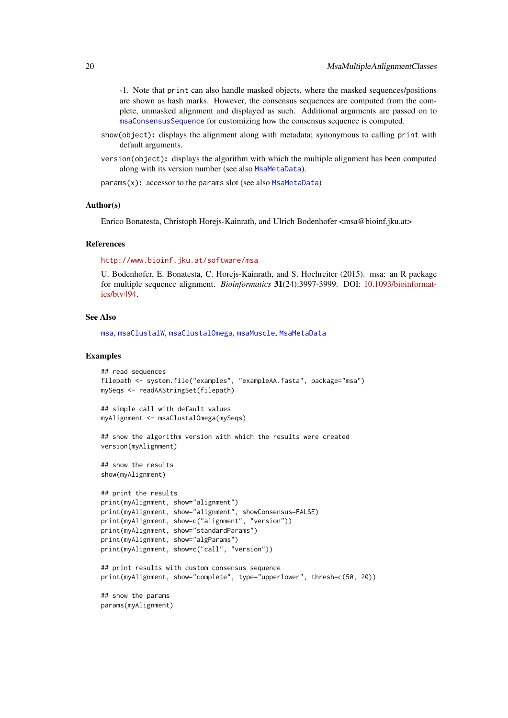<span id="page-19-0"></span>-1. Note that print can also handle masked objects, where the masked sequences/positions are shown as hash marks. However, the consensus sequences are computed from the complete, unmasked alignment and displayed as such. Additional arguments are passed on to [msaConsensusSequence](#page-11-1) for customizing how the consensus sequence is computed.

- show(object): displays the alignment along with metadata; synonymous to calling print with default arguments.
- version(object): displays the algorithm with which the multiple alignment has been computed along with its version number (see also [MsaMetaData](#page-16-1)).

params(x): accessor to the params slot (see also [MsaMetaData](#page-16-1))

#### Author(s)

Enrico Bonatesta, Christoph Horejs-Kainrath, and Ulrich Bodenhofer <msa@bioinf.jku.at>

#### References

<http://www.bioinf.jku.at/software/msa>

U. Bodenhofer, E. Bonatesta, C. Horejs-Kainrath, and S. Hochreiter (2015). msa: an R package for multiple sequence alignment. *Bioinformatics* 31(24):3997-3999. DOI: [10.1093/bioinformat](http://dx.doi.org/10.1093/bioinformatics/btv494)[ics/btv494.](http://dx.doi.org/10.1093/bioinformatics/btv494)

# See Also

[msa](#page-2-1), [msaClustalW](#page-9-1), [msaClustalOmega](#page-7-1), [msaMuscle](#page-20-1), [MsaMetaData](#page-16-1)

```
## read sequences
filepath <- system.file("examples", "exampleAA.fasta", package="msa")
mySeqs <- readAAStringSet(filepath)
## simple call with default values
myAlignment <- msaClustalOmega(mySeqs)
## show the algorithm version with which the results were created
version(myAlignment)
## show the results
show(myAlignment)
## print the results
print(myAlignment, show="alignment")
print(myAlignment, show="alignment", showConsensus=FALSE)
print(myAlignment, show=c("alignment", "version"))
print(myAlignment, show="standardParams")
print(myAlignment, show="algParams")
print(myAlignment, show=c("call", "version"))
## print results with custom consensus sequence
print(myAlignment, show="complete", type="upperlower", thresh=c(50, 20))
## show the params
params(myAlignment)
```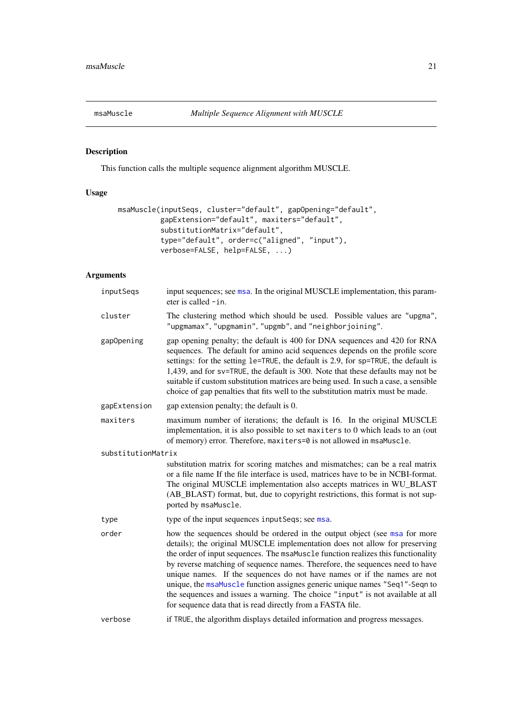<span id="page-20-1"></span><span id="page-20-0"></span>

# Description

This function calls the multiple sequence alignment algorithm MUSCLE.

# Usage

```
msaMuscle(inputSeqs, cluster="default", gapOpening="default",
          gapExtension="default", maxiters="default",
          substitutionMatrix="default",
          type="default", order=c("aligned", "input"),
          verbose=FALSE, help=FALSE, ...)
```
# Arguments

| inputSeqs          | input sequences; see msa. In the original MUSCLE implementation, this param-<br>eter is called -in.                                                                                                                                                                                                                                                                                                                                                                                                                                                                                                                                     |
|--------------------|-----------------------------------------------------------------------------------------------------------------------------------------------------------------------------------------------------------------------------------------------------------------------------------------------------------------------------------------------------------------------------------------------------------------------------------------------------------------------------------------------------------------------------------------------------------------------------------------------------------------------------------------|
| cluster            | The clustering method which should be used. Possible values are "upgma",<br>"upgmamax", "upgmamin", "upgmb", and "neighborjoining".                                                                                                                                                                                                                                                                                                                                                                                                                                                                                                     |
| gapOpening         | gap opening penalty; the default is 400 for DNA sequences and 420 for RNA<br>sequences. The default for amino acid sequences depends on the profile score<br>settings: for the setting le=TRUE, the default is 2.9, for sp=TRUE, the default is<br>1,439, and for sv=TRUE, the default is 300. Note that these defaults may not be<br>suitable if custom substitution matrices are being used. In such a case, a sensible<br>choice of gap penalties that fits well to the substitution matrix must be made.                                                                                                                            |
| gapExtension       | gap extension penalty; the default is 0.                                                                                                                                                                                                                                                                                                                                                                                                                                                                                                                                                                                                |
| maxiters           | maximum number of iterations; the default is 16. In the original MUSCLE<br>implementation, it is also possible to set maxiters to 0 which leads to an (out<br>of memory) error. Therefore, maxiters=0 is not allowed in msaMuscle.                                                                                                                                                                                                                                                                                                                                                                                                      |
| substitutionMatrix |                                                                                                                                                                                                                                                                                                                                                                                                                                                                                                                                                                                                                                         |
|                    | substitution matrix for scoring matches and mismatches; can be a real matrix<br>or a file name If the file interface is used, matrices have to be in NCBI-format.<br>The original MUSCLE implementation also accepts matrices in WU_BLAST<br>(AB_BLAST) format, but, due to copyright restrictions, this format is not sup-<br>ported by msaMuscle.                                                                                                                                                                                                                                                                                     |
| type               | type of the input sequences inputSeqs; see msa.                                                                                                                                                                                                                                                                                                                                                                                                                                                                                                                                                                                         |
| order              | how the sequences should be ordered in the output object (see msa for more<br>details); the original MUSCLE implementation does not allow for preserving<br>the order of input sequences. The msaMuscle function realizes this functionality<br>by reverse matching of sequence names. Therefore, the sequences need to have<br>unique names. If the sequences do not have names or if the names are not<br>unique, the msaMuscle function assignes generic unique names "Seq1"-Seqn to<br>the sequences and issues a warning. The choice "input" is not available at all<br>for sequence data that is read directly from a FASTA file. |
| verbose            | if TRUE, the algorithm displays detailed information and progress messages.                                                                                                                                                                                                                                                                                                                                                                                                                                                                                                                                                             |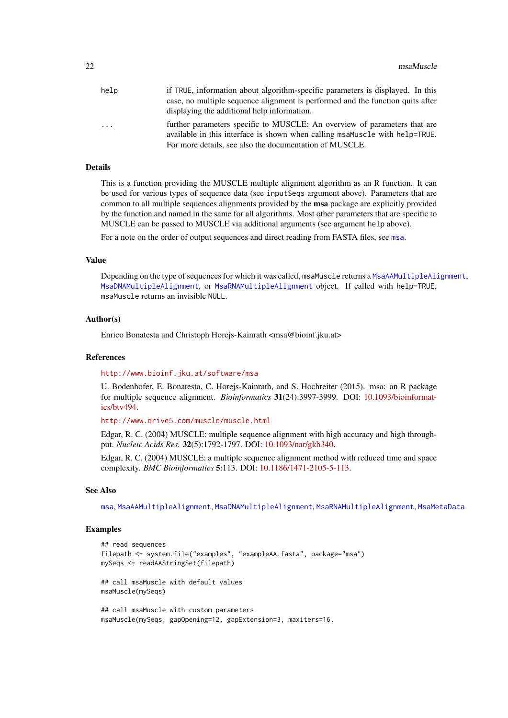<span id="page-21-0"></span>

| help     | if TRUE, information about algorithm-specific parameters is displayed. In this                                                                           |
|----------|----------------------------------------------------------------------------------------------------------------------------------------------------------|
|          | case, no multiple sequence alignment is performed and the function quits after                                                                           |
|          | displaying the additional help information.                                                                                                              |
| $\cdots$ | further parameters specific to MUSCLE; An overview of parameters that are<br>available in this interface is shown when calling msaMuscle with help=TRUE. |
|          | For more details, see also the documentation of MUSCLE.                                                                                                  |

#### Details

This is a function providing the MUSCLE multiple alignment algorithm as an R function. It can be used for various types of sequence data (see inputSeqs argument above). Parameters that are common to all multiple sequences alignments provided by the msa package are explicitly provided by the function and named in the same for all algorithms. Most other parameters that are specific to MUSCLE can be passed to MUSCLE via additional arguments (see argument help above).

For a note on the order of output sequences and direct reading from FASTA files, see [msa](#page-2-1).

## Value

Depending on the type of sequences for which it was called, msaMuscle returns a [MsaAAMultipleAlignment](#page-18-1), [MsaDNAMultipleAlignment](#page-18-1), or [MsaRNAMultipleAlignment](#page-18-1) object. If called with help=TRUE, msaMuscle returns an invisible NULL.

#### Author(s)

Enrico Bonatesta and Christoph Horejs-Kainrath <msa@bioinf.jku.at>

#### References

#### <http://www.bioinf.jku.at/software/msa>

U. Bodenhofer, E. Bonatesta, C. Horejs-Kainrath, and S. Hochreiter (2015). msa: an R package for multiple sequence alignment. *Bioinformatics* 31(24):3997-3999. DOI: [10.1093/bioinformat](http://dx.doi.org/10.1093/bioinformatics/btv494)[ics/btv494.](http://dx.doi.org/10.1093/bioinformatics/btv494)

<http://www.drive5.com/muscle/muscle.html>

Edgar, R. C. (2004) MUSCLE: multiple sequence alignment with high accuracy and high throughput. *Nucleic Acids Res.* 32(5):1792-1797. DOI: [10.1093/nar/gkh340.](http://dx.doi.org/10.1093/nar/gkh340)

Edgar, R. C. (2004) MUSCLE: a multiple sequence alignment method with reduced time and space complexity. *BMC Bioinformatics* 5:113. DOI: [10.1186/1471-2105-5-113.](http://dx.doi.org/10.1186/1471-2105-5-113)

#### See Also

[msa](#page-2-1), [MsaAAMultipleAlignment](#page-18-1), [MsaDNAMultipleAlignment](#page-18-1), [MsaRNAMultipleAlignment](#page-18-1), [MsaMetaData](#page-16-1)

```
## read sequences
filepath <- system.file("examples", "exampleAA.fasta", package="msa")
mySeqs <- readAAStringSet(filepath)
## call msaMuscle with default values
msaMuscle(mySeqs)
## call msaMuscle with custom parameters
msaMuscle(mySeqs, gapOpening=12, gapExtension=3, maxiters=16,
```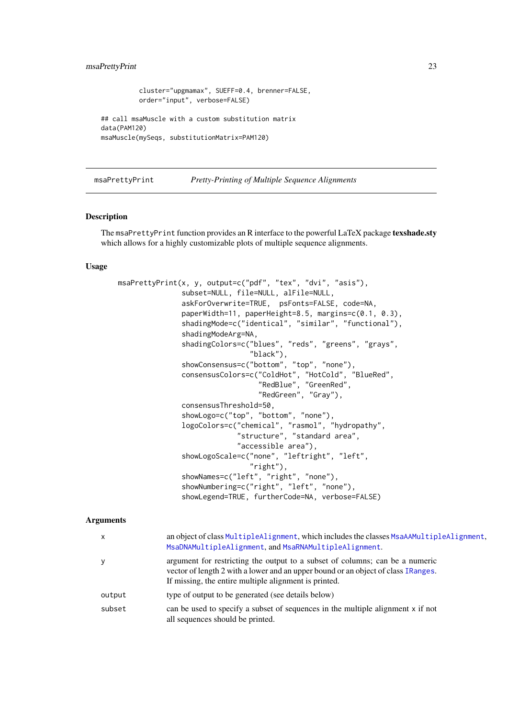#### <span id="page-22-0"></span>msaPrettyPrint 23

```
cluster="upgmamax", SUEFF=0.4, brenner=FALSE,
          order="input", verbose=FALSE)
## call msaMuscle with a custom substitution matrix
data(PAM120)
msaMuscle(mySeqs, substitutionMatrix=PAM120)
```
<span id="page-22-1"></span>msaPrettyPrint *Pretty-Printing of Multiple Sequence Alignments*

# Description

The msaPrettyPrint function provides an R interface to the powerful LaTeX package texshade.sty which allows for a highly customizable plots of multiple sequence alignments.

# Usage

```
msaPrettyPrint(x, y, output=c("pdf", "tex", "dvi", "asis"),
               subset=NULL, file=NULL, alFile=NULL,
               askForOverwrite=TRUE, psFonts=FALSE, code=NA,
               paperWidth=11, paperHeight=8.5, margins=c(0.1, 0.3),
               shadingMode=c("identical", "similar", "functional"),
               shadingModeArg=NA,
               shadingColors=c("blues", "reds", "greens", "grays",
                                "black"),
               showConsensus=c("bottom", "top", "none"),
               consensusColors=c("ColdHot", "HotCold", "BlueRed",
                                 "RedBlue", "GreenRed",
                                 "RedGreen", "Gray"),
               consensusThreshold=50,
               showLogo=c("top", "bottom", "none"),
               logoColors=c("chemical", "rasmol", "hydropathy",
                            "structure", "standard area",
                            "accessible area"),
               showLogoScale=c("none", "leftright", "left",
                               "right"),
               showNames=c("left", "right", "none"),
               showNumbering=c("right", "left", "none"),
               showLegend=TRUE, furtherCode=NA, verbose=FALSE)
```
# Arguments

| $\mathsf{x}$ | an object of class MultipleAlignment, which includes the classes MsaAAMultipleAlignment.<br>MsaDNAMultipleAlignment, and MsaRNAMultipleAlignment.                                                                          |
|--------------|----------------------------------------------------------------------------------------------------------------------------------------------------------------------------------------------------------------------------|
| У            | argument for restricting the output to a subset of columns; can be a numeric<br>vector of length 2 with a lower and an upper bound or an object of class IRanges.<br>If missing, the entire multiple alignment is printed. |
| output       | type of output to be generated (see details below)                                                                                                                                                                         |
| subset       | can be used to specify a subset of sequences in the multiple alignment x if not<br>all sequences should be printed.                                                                                                        |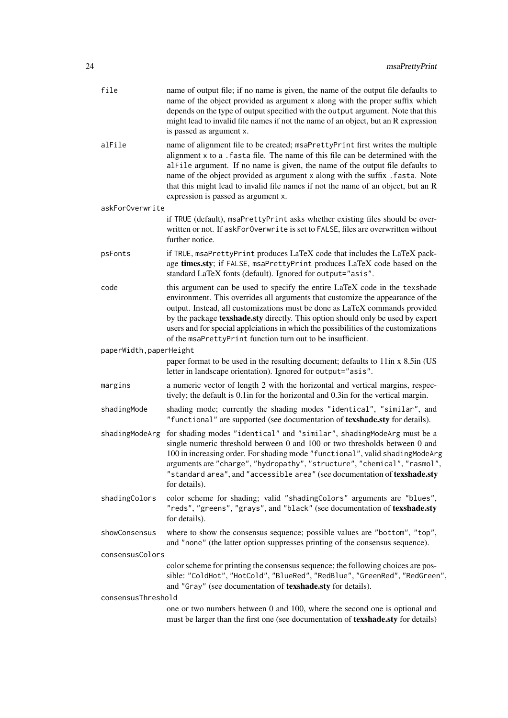| file                    | name of output file; if no name is given, the name of the output file defaults to<br>name of the object provided as argument x along with the proper suffix which<br>depends on the type of output specified with the output argument. Note that this<br>might lead to invalid file names if not the name of an object, but an R expression<br>is passed as argument x.                                                                                                              |  |
|-------------------------|--------------------------------------------------------------------------------------------------------------------------------------------------------------------------------------------------------------------------------------------------------------------------------------------------------------------------------------------------------------------------------------------------------------------------------------------------------------------------------------|--|
| alFile                  | name of alignment file to be created; msaPrettyPrint first writes the multiple<br>alignment x to a . fasta file. The name of this file can be determined with the<br>alfile argument. If no name is given, the name of the output file defaults to<br>name of the object provided as argument x along with the suffix . fasta. Note<br>that this might lead to invalid file names if not the name of an object, but an R<br>expression is passed as argument x.                      |  |
| askForOverwrite         |                                                                                                                                                                                                                                                                                                                                                                                                                                                                                      |  |
|                         | if TRUE (default), msaPrettyPrint asks whether existing files should be over-<br>written or not. If askForOverwrite is set to FALSE, files are overwritten without<br>further notice.                                                                                                                                                                                                                                                                                                |  |
| psFonts                 | if TRUE, msaPrettyPrint produces LaTeX code that includes the LaTeX pack-<br>age times.sty; if FALSE, msaPrettyPrint produces LaTeX code based on the<br>standard LaTeX fonts (default). Ignored for output="asis".                                                                                                                                                                                                                                                                  |  |
| code                    | this argument can be used to specify the entire LaTeX code in the texshade<br>environment. This overrides all arguments that customize the appearance of the<br>output. Instead, all customizations must be done as LaTeX commands provided<br>by the package texshade.sty directly. This option should only be used by expert<br>users and for special applications in which the possibilities of the customizations<br>of the msaPrettyPrint function turn out to be insufficient. |  |
| paperWidth, paperHeight |                                                                                                                                                                                                                                                                                                                                                                                                                                                                                      |  |
|                         | paper format to be used in the resulting document; defaults to 11in x 8.5in (US<br>letter in landscape orientation). Ignored for output="asis".                                                                                                                                                                                                                                                                                                                                      |  |
| margins                 | a numeric vector of length 2 with the horizontal and vertical margins, respec-<br>tively; the default is 0.1 in for the horizontal and 0.3 in for the vertical margin.                                                                                                                                                                                                                                                                                                               |  |
| shadingMode             | shading mode; currently the shading modes "identical", "similar", and<br>"functional" are supported (see documentation of texshade.sty for details).                                                                                                                                                                                                                                                                                                                                 |  |
| shadingModeArg          | for shading modes "identical" and "similar", shadingModeArg must be a<br>single numeric threshold between 0 and 100 or two thresholds between 0 and<br>100 in increasing order. For shading mode "functional", valid shadingModeArg<br>arguments are "charge", "hydropathy", "structure", "chemical", "rasmol",<br>"standard area", and "accessible area" (see documentation of texshade.sty<br>for details).                                                                        |  |
| shadingColors           | color scheme for shading; valid "shadingColors" arguments are "blues",<br>"reds", "greens", "grays", and "black" (see documentation of texshade.sty<br>for details).                                                                                                                                                                                                                                                                                                                 |  |
| showConsensus           | where to show the consensus sequence; possible values are "bottom", "top",<br>and "none" (the latter option suppresses printing of the consensus sequence).                                                                                                                                                                                                                                                                                                                          |  |
| consensusColors         |                                                                                                                                                                                                                                                                                                                                                                                                                                                                                      |  |
|                         | color scheme for printing the consensus sequence; the following choices are pos-<br>sible: "ColdHot", "HotCold", "BlueRed", "RedBlue", "GreenRed", "RedGreen",<br>and "Gray" (see documentation of texshade.sty for details).                                                                                                                                                                                                                                                        |  |
| consensusThreshold      |                                                                                                                                                                                                                                                                                                                                                                                                                                                                                      |  |
|                         | one or two numbers between 0 and 100, where the second one is optional and<br>must be larger than the first one (see documentation of texshade.sty for details)                                                                                                                                                                                                                                                                                                                      |  |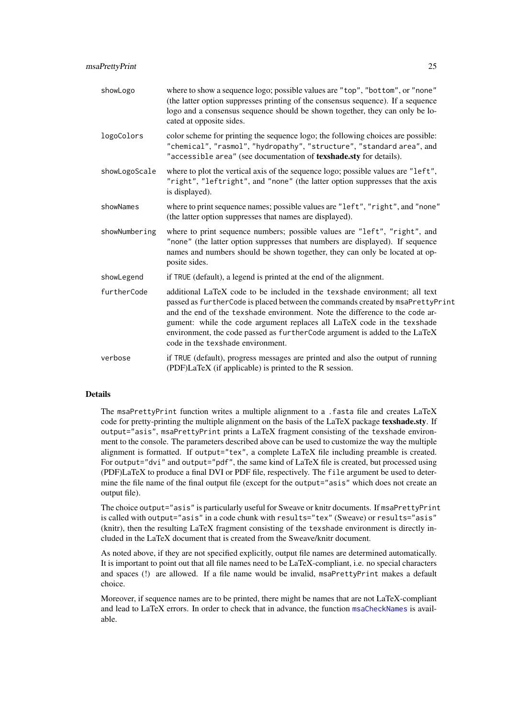<span id="page-24-0"></span>

| showLogo      | where to show a sequence logo; possible values are "top", "bottom", or "none"<br>(the latter option suppresses printing of the consensus sequence). If a sequence<br>logo and a consensus sequence should be shown together, they can only be lo-<br>cated at opposite sides.                                                                                                                                                              |
|---------------|--------------------------------------------------------------------------------------------------------------------------------------------------------------------------------------------------------------------------------------------------------------------------------------------------------------------------------------------------------------------------------------------------------------------------------------------|
| logoColors    | color scheme for printing the sequence logo; the following choices are possible:<br>"chemical", "rasmol", "hydropathy", "structure", "standard area", and<br>"accessible area" (see documentation of texshade.sty for details).                                                                                                                                                                                                            |
| showLogoScale | where to plot the vertical axis of the sequence logo; possible values are "left",<br>"right", "leftright", and "none" (the latter option suppresses that the axis<br>is displayed).                                                                                                                                                                                                                                                        |
| showNames     | where to print sequence names; possible values are "left", "right", and "none"<br>(the latter option suppresses that names are displayed).                                                                                                                                                                                                                                                                                                 |
| showNumbering | where to print sequence numbers; possible values are "left", "right", and<br>"none" (the latter option suppresses that numbers are displayed). If sequence<br>names and numbers should be shown together, they can only be located at op-<br>posite sides.                                                                                                                                                                                 |
| showLegend    | if TRUE (default), a legend is printed at the end of the alignment.                                                                                                                                                                                                                                                                                                                                                                        |
| furtherCode   | additional LaTeX code to be included in the texshade environment; all text<br>passed as furtherCode is placed between the commands created by msaPrettyPrint<br>and the end of the texshade environment. Note the difference to the code ar-<br>gument: while the code argument replaces all LaTeX code in the texshade<br>environment, the code passed as furtherCode argument is added to the LaTeX<br>code in the texshade environment. |
| verbose       | if TRUE (default), progress messages are printed and also the output of running<br>(PDF)LaTeX (if applicable) is printed to the R session.                                                                                                                                                                                                                                                                                                 |

# Details

The msaPrettyPrint function writes a multiple alignment to a .fasta file and creates LaTeX code for pretty-printing the multiple alignment on the basis of the LaTeX package texshade.sty. If output="asis", msaPrettyPrint prints a LaTeX fragment consisting of the texshade environment to the console. The parameters described above can be used to customize the way the multiple alignment is formatted. If output="tex", a complete LaTeX file including preamble is created. For output="dvi" and output="pdf", the same kind of LaTeX file is created, but processed using (PDF)LaTeX to produce a final DVI or PDF file, respectively. The file argument be used to determine the file name of the final output file (except for the output="asis" which does not create an output file).

The choice output="asis" is particularly useful for Sweave or knitr documents. If msaPrettyPrint is called with output="asis" in a code chunk with results="tex" (Sweave) or results="asis" (knitr), then the resulting LaTeX fragment consisting of the texshade environment is directly included in the LaTeX document that is created from the Sweave/knitr document.

As noted above, if they are not specified explicitly, output file names are determined automatically. It is important to point out that all file names need to be LaTeX-compliant, i.e. no special characters and spaces (!) are allowed. If a file name would be invalid, msaPrettyPrint makes a default choice.

Moreover, if sequence names are to be printed, there might be names that are not LaTeX-compliant and lead to LaTeX errors. In order to check that in advance, the function [msaCheckNames](#page-5-1) is available.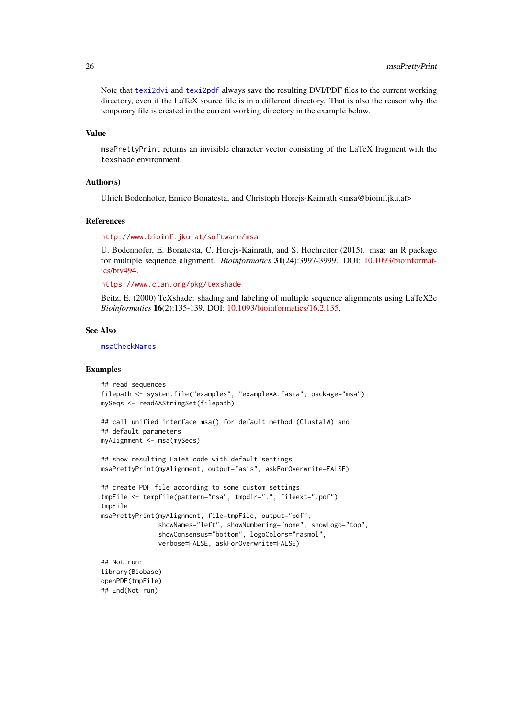Note that [texi2dvi](#page-0-0) and [texi2pdf](#page-0-0) always save the resulting DVI/PDF files to the current working directory, even if the LaTeX source file is in a different directory. That is also the reason why the temporary file is created in the current working directory in the example below.

#### Value

msaPrettyPrint returns an invisible character vector consisting of the LaTeX fragment with the texshade environment.

# Author(s)

Ulrich Bodenhofer, Enrico Bonatesta, and Christoph Horejs-Kainrath <msa@bioinf.jku.at>

#### References

# <http://www.bioinf.jku.at/software/msa>

U. Bodenhofer, E. Bonatesta, C. Horejs-Kainrath, and S. Hochreiter (2015). msa: an R package for multiple sequence alignment. *Bioinformatics* 31(24):3997-3999. DOI: [10.1093/bioinformat](http://dx.doi.org/10.1093/bioinformatics/btv494)[ics/btv494.](http://dx.doi.org/10.1093/bioinformatics/btv494)

```
https://www.ctan.org/pkg/texshade
```
Beitz, E. (2000) TeXshade: shading and labeling of multiple sequence alignments using LaTeX2e *Bioinformatics* 16(2):135-139. DOI: [10.1093/bioinformatics/16.2.135.](http://dx.doi.org/10.1093/bioinformatics/16.2.135)

# See Also

[msaCheckNames](#page-5-1)

## End(Not run)

```
## read sequences
filepath <- system.file("examples", "exampleAA.fasta", package="msa")
mySeqs <- readAAStringSet(filepath)
## call unified interface msa() for default method (ClustalW) and
## default parameters
myAlignment <- msa(mySeqs)
## show resulting LaTeX code with default settings
msaPrettyPrint(myAlignment, output="asis", askForOverwrite=FALSE)
## create PDF file according to some custom settings
tmpFile <- tempfile(pattern="msa", tmpdir=".", fileext=".pdf")
tmpFile
msaPrettyPrint(myAlignment, file=tmpFile, output="pdf",
               showNames="left", showNumbering="none", showLogo="top",
               showConsensus="bottom", logoColors="rasmol",
               verbose=FALSE, askForOverwrite=FALSE)
## Not run:
library(Biobase)
openPDF(tmpFile)
```
<span id="page-25-0"></span>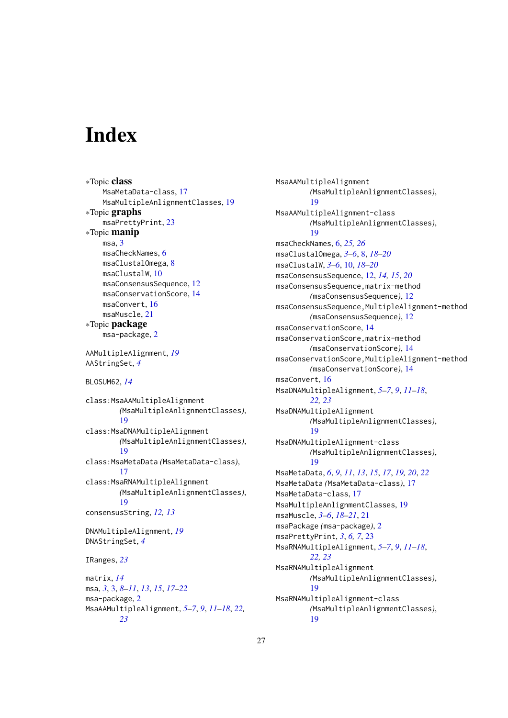# <span id="page-26-0"></span>Index

```
∗Topic class
    MsaMetaData-class, 17
    MsaMultipleAnlignmentClasses, 19
∗Topic graphs
    msaPrettyPrint, 23
∗Topic manip
    msa, 3
    msaCheckNames, 6
    msaClustalOmega, 8
    msaClustalW, 10
    msaConsensusSequence, 12
    msaConservationScore, 14
    msaConvert, 16
    msaMuscle, 21
∗Topic package
    msa-package, 2
AAMultipleAlignment, 19
AAStringSet, 4
BLOSUM62, 14
class:MsaAAMultipleAlignment
        (MsaMultipleAnlignmentClasses),
         19
class:MsaDNAMultipleAlignment
        (MsaMultipleAnlignmentClasses),
        19
class:MsaMetaData (MsaMetaData-class),
        17
class:MsaRNAMultipleAlignment
        (MsaMultipleAnlignmentClasses),
        19
consensusString, 12, 13
DNAMultipleAlignment, 19
DNAStringSet, 4
IRanges, 23
matrix, 14
msa, 3, 3, 8–11, 13, 15, 17–22
msa-package, 2
MsaAAMultipleAlignment, 5–7, 9, 11–18, 22,
        23
```
MsaAAMultipleAlignment *(*MsaMultipleAnlignmentClasses*)*, [19](#page-18-0) MsaAAMultipleAlignment-class *(*MsaMultipleAnlignmentClasses*)*, [19](#page-18-0) msaCheckNames, [6,](#page-5-0) *[25,](#page-24-0) [26](#page-25-0)* msaClustalOmega, *[3](#page-2-0)[–6](#page-5-0)*, [8,](#page-7-0) *[18](#page-17-0)[–20](#page-19-0)* msaClustalW, *[3](#page-2-0)[–6](#page-5-0)*, [10,](#page-9-0) *[18](#page-17-0)[–20](#page-19-0)* msaConsensusSequence, [12,](#page-11-0) *[14,](#page-13-0) [15](#page-14-0)*, *[20](#page-19-0)* msaConsensusSequence,matrix-method *(*msaConsensusSequence*)*, [12](#page-11-0) msaConsensusSequence,MultipleAlignment-method *(*msaConsensusSequence*)*, [12](#page-11-0) msaConservationScore, [14](#page-13-0) msaConservationScore,matrix-method *(*msaConservationScore*)*, [14](#page-13-0) msaConservationScore,MultipleAlignment-method *(*msaConservationScore*)*, [14](#page-13-0) msaConvert, [16](#page-15-0) MsaDNAMultipleAlignment, *[5](#page-4-0)[–7](#page-6-0)*, *[9](#page-8-0)*, *[11](#page-10-0)[–18](#page-17-0)*, *[22,](#page-21-0) [23](#page-22-0)* MsaDNAMultipleAlignment *(*MsaMultipleAnlignmentClasses*)*, [19](#page-18-0) MsaDNAMultipleAlignment-class *(*MsaMultipleAnlignmentClasses*)*, [19](#page-18-0) MsaMetaData, *[6](#page-5-0)*, *[9](#page-8-0)*, *[11](#page-10-0)*, *[13](#page-12-0)*, *[15](#page-14-0)*, *[17](#page-16-0)*, *[19,](#page-18-0) [20](#page-19-0)*, *[22](#page-21-0)* MsaMetaData *(*MsaMetaData-class*)*, [17](#page-16-0) MsaMetaData-class, [17](#page-16-0) MsaMultipleAnlignmentClasses, [19](#page-18-0) msaMuscle, *[3](#page-2-0)[–6](#page-5-0)*, *[18](#page-17-0)[–21](#page-20-0)*, [21](#page-20-0) msaPackage *(*msa-package*)*, [2](#page-1-0) msaPrettyPrint, *[3](#page-2-0)*, *[6,](#page-5-0) [7](#page-6-0)*, [23](#page-22-0) MsaRNAMultipleAlignment, *[5](#page-4-0)[–7](#page-6-0)*, *[9](#page-8-0)*, *[11](#page-10-0)[–18](#page-17-0)*, *[22,](#page-21-0) [23](#page-22-0)* MsaRNAMultipleAlignment *(*MsaMultipleAnlignmentClasses*)*, [19](#page-18-0) MsaRNAMultipleAlignment-class *(*MsaMultipleAnlignmentClasses*)*, [19](#page-18-0)